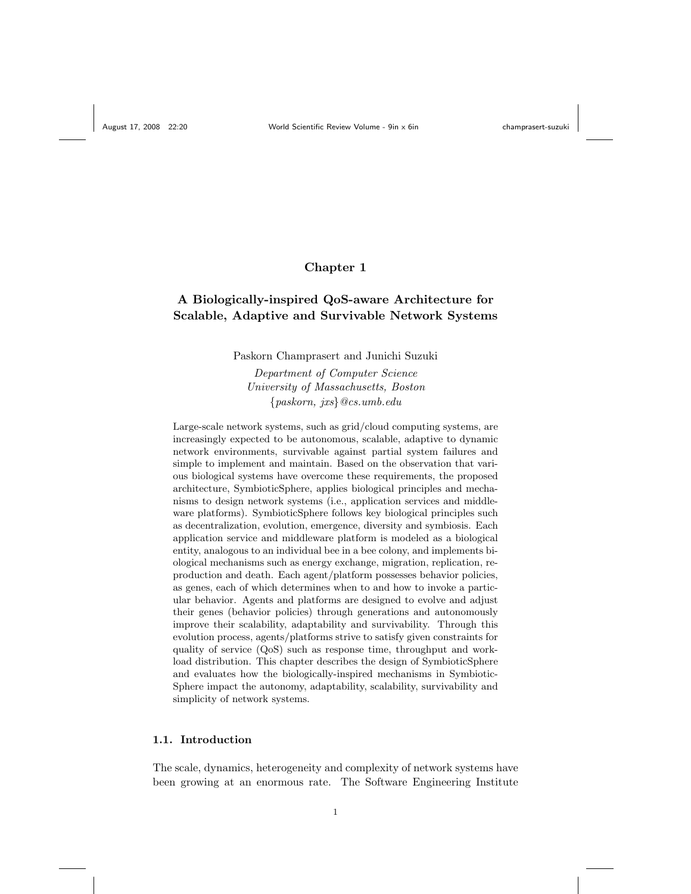## Chapter 1

# A Biologically-inspired QoS-aware Architecture for Scalable, Adaptive and Survivable Network Systems

Paskorn Champrasert and Junichi Suzuki

Department of Computer Science University of Massachusetts, Boston {paskorn, jxs}@cs.umb.edu

Large-scale network systems, such as grid/cloud computing systems, are increasingly expected to be autonomous, scalable, adaptive to dynamic network environments, survivable against partial system failures and simple to implement and maintain. Based on the observation that various biological systems have overcome these requirements, the proposed architecture, SymbioticSphere, applies biological principles and mechanisms to design network systems (i.e., application services and middleware platforms). SymbioticSphere follows key biological principles such as decentralization, evolution, emergence, diversity and symbiosis. Each application service and middleware platform is modeled as a biological entity, analogous to an individual bee in a bee colony, and implements biological mechanisms such as energy exchange, migration, replication, reproduction and death. Each agent/platform possesses behavior policies, as genes, each of which determines when to and how to invoke a particular behavior. Agents and platforms are designed to evolve and adjust their genes (behavior policies) through generations and autonomously improve their scalability, adaptability and survivability. Through this evolution process, agents/platforms strive to satisfy given constraints for quality of service (QoS) such as response time, throughput and workload distribution. This chapter describes the design of SymbioticSphere and evaluates how the biologically-inspired mechanisms in Symbiotic-Sphere impact the autonomy, adaptability, scalability, survivability and simplicity of network systems.

## 1.1. Introduction

The scale, dynamics, heterogeneity and complexity of network systems have been growing at an enormous rate. The Software Engineering Institute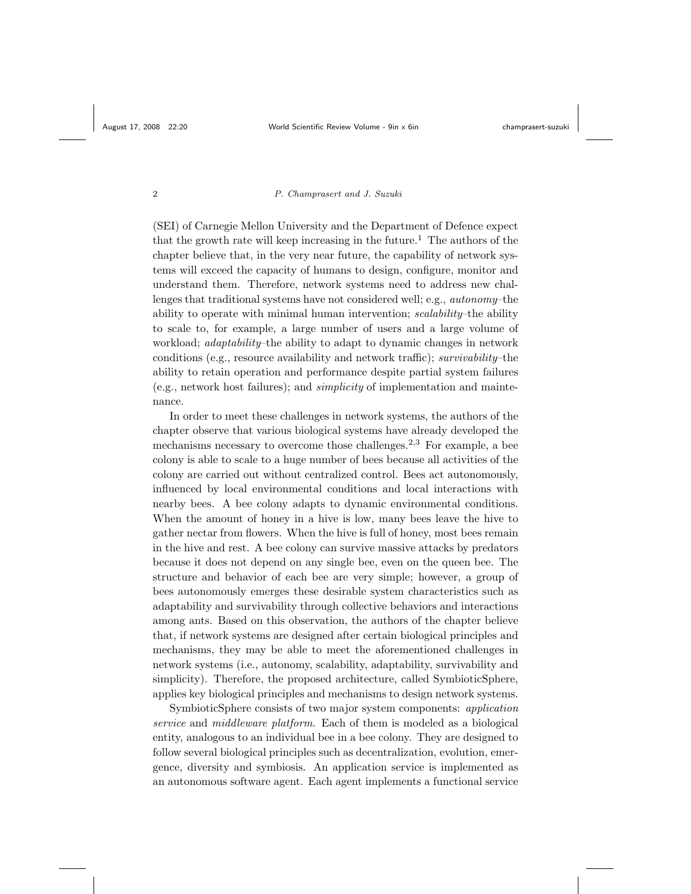(SEI) of Carnegie Mellon University and the Department of Defence expect that the growth rate will keep increasing in the future.<sup>1</sup> The authors of the chapter believe that, in the very near future, the capability of network systems will exceed the capacity of humans to design, configure, monitor and understand them. Therefore, network systems need to address new challenges that traditional systems have not considered well; e.g., autonomy–the ability to operate with minimal human intervention; scalability–the ability to scale to, for example, a large number of users and a large volume of workload; adaptability–the ability to adapt to dynamic changes in network conditions (e.g., resource availability and network traffic); survivability–the ability to retain operation and performance despite partial system failures (e.g., network host failures); and simplicity of implementation and maintenance.

In order to meet these challenges in network systems, the authors of the chapter observe that various biological systems have already developed the mechanisms necessary to overcome those challenges.<sup>2,3</sup> For example, a bee colony is able to scale to a huge number of bees because all activities of the colony are carried out without centralized control. Bees act autonomously, influenced by local environmental conditions and local interactions with nearby bees. A bee colony adapts to dynamic environmental conditions. When the amount of honey in a hive is low, many bees leave the hive to gather nectar from flowers. When the hive is full of honey, most bees remain in the hive and rest. A bee colony can survive massive attacks by predators because it does not depend on any single bee, even on the queen bee. The structure and behavior of each bee are very simple; however, a group of bees autonomously emerges these desirable system characteristics such as adaptability and survivability through collective behaviors and interactions among ants. Based on this observation, the authors of the chapter believe that, if network systems are designed after certain biological principles and mechanisms, they may be able to meet the aforementioned challenges in network systems (i.e., autonomy, scalability, adaptability, survivability and simplicity). Therefore, the proposed architecture, called SymbioticSphere, applies key biological principles and mechanisms to design network systems.

SymbioticSphere consists of two major system components: application service and *middleware platform*. Each of them is modeled as a biological entity, analogous to an individual bee in a bee colony. They are designed to follow several biological principles such as decentralization, evolution, emergence, diversity and symbiosis. An application service is implemented as an autonomous software agent. Each agent implements a functional service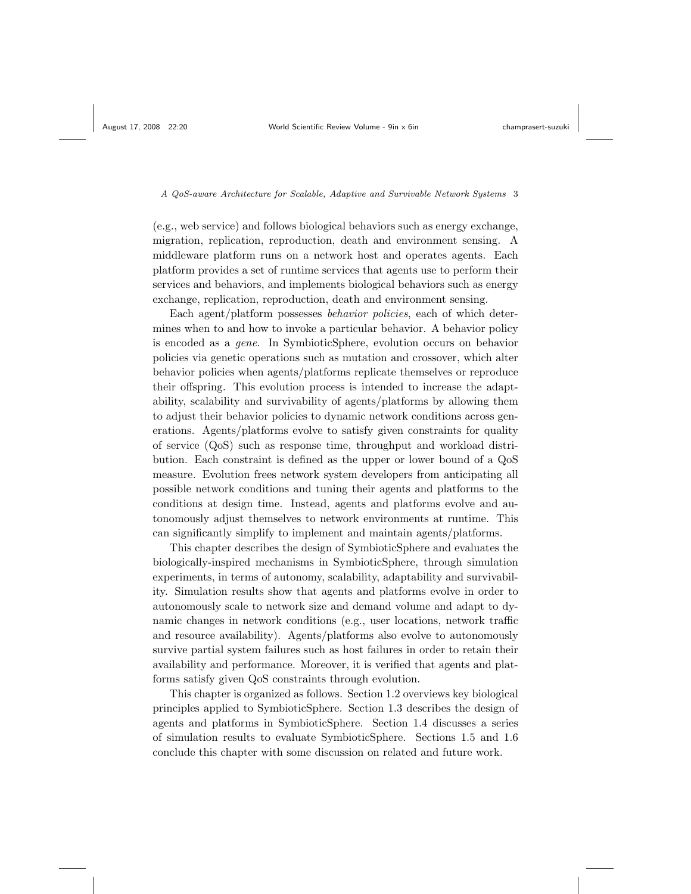(e.g., web service) and follows biological behaviors such as energy exchange, migration, replication, reproduction, death and environment sensing. A middleware platform runs on a network host and operates agents. Each platform provides a set of runtime services that agents use to perform their services and behaviors, and implements biological behaviors such as energy exchange, replication, reproduction, death and environment sensing.

Each agent/platform possesses behavior policies, each of which determines when to and how to invoke a particular behavior. A behavior policy is encoded as a gene. In SymbioticSphere, evolution occurs on behavior policies via genetic operations such as mutation and crossover, which alter behavior policies when agents/platforms replicate themselves or reproduce their offspring. This evolution process is intended to increase the adaptability, scalability and survivability of agents/platforms by allowing them to adjust their behavior policies to dynamic network conditions across generations. Agents/platforms evolve to satisfy given constraints for quality of service (QoS) such as response time, throughput and workload distribution. Each constraint is defined as the upper or lower bound of a QoS measure. Evolution frees network system developers from anticipating all possible network conditions and tuning their agents and platforms to the conditions at design time. Instead, agents and platforms evolve and autonomously adjust themselves to network environments at runtime. This can significantly simplify to implement and maintain agents/platforms.

This chapter describes the design of SymbioticSphere and evaluates the biologically-inspired mechanisms in SymbioticSphere, through simulation experiments, in terms of autonomy, scalability, adaptability and survivability. Simulation results show that agents and platforms evolve in order to autonomously scale to network size and demand volume and adapt to dynamic changes in network conditions (e.g., user locations, network traffic and resource availability). Agents/platforms also evolve to autonomously survive partial system failures such as host failures in order to retain their availability and performance. Moreover, it is verified that agents and platforms satisfy given QoS constraints through evolution.

This chapter is organized as follows. Section 1.2 overviews key biological principles applied to SymbioticSphere. Section 1.3 describes the design of agents and platforms in SymbioticSphere. Section 1.4 discusses a series of simulation results to evaluate SymbioticSphere. Sections 1.5 and 1.6 conclude this chapter with some discussion on related and future work.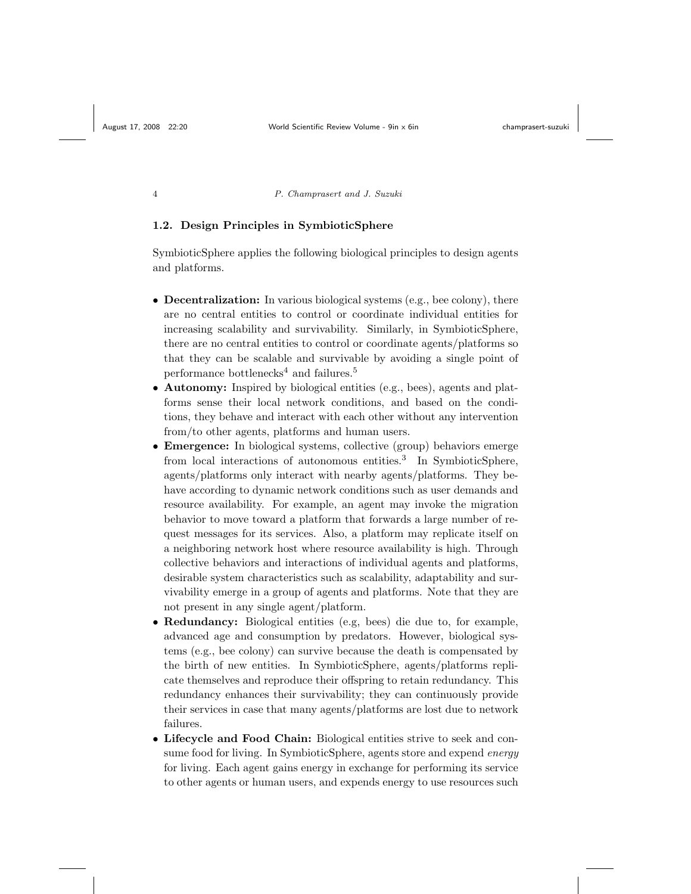## 1.2. Design Principles in SymbioticSphere

SymbioticSphere applies the following biological principles to design agents and platforms.

- **Decentralization:** In various biological systems (e.g., bee colony), there are no central entities to control or coordinate individual entities for increasing scalability and survivability. Similarly, in SymbioticSphere, there are no central entities to control or coordinate agents/platforms so that they can be scalable and survivable by avoiding a single point of performance bottlenecks<sup>4</sup> and failures.<sup>5</sup>
- Autonomy: Inspired by biological entities (e.g., bees), agents and platforms sense their local network conditions, and based on the conditions, they behave and interact with each other without any intervention from/to other agents, platforms and human users.
- Emergence: In biological systems, collective (group) behaviors emerge from local interactions of autonomous entities.<sup>3</sup> In SymbioticSphere, agents/platforms only interact with nearby agents/platforms. They behave according to dynamic network conditions such as user demands and resource availability. For example, an agent may invoke the migration behavior to move toward a platform that forwards a large number of request messages for its services. Also, a platform may replicate itself on a neighboring network host where resource availability is high. Through collective behaviors and interactions of individual agents and platforms, desirable system characteristics such as scalability, adaptability and survivability emerge in a group of agents and platforms. Note that they are not present in any single agent/platform.
- Redundancy: Biological entities (e.g, bees) die due to, for example, advanced age and consumption by predators. However, biological systems (e.g., bee colony) can survive because the death is compensated by the birth of new entities. In SymbioticSphere, agents/platforms replicate themselves and reproduce their offspring to retain redundancy. This redundancy enhances their survivability; they can continuously provide their services in case that many agents/platforms are lost due to network failures.
- Lifecycle and Food Chain: Biological entities strive to seek and consume food for living. In SymbioticSphere, agents store and expend energy for living. Each agent gains energy in exchange for performing its service to other agents or human users, and expends energy to use resources such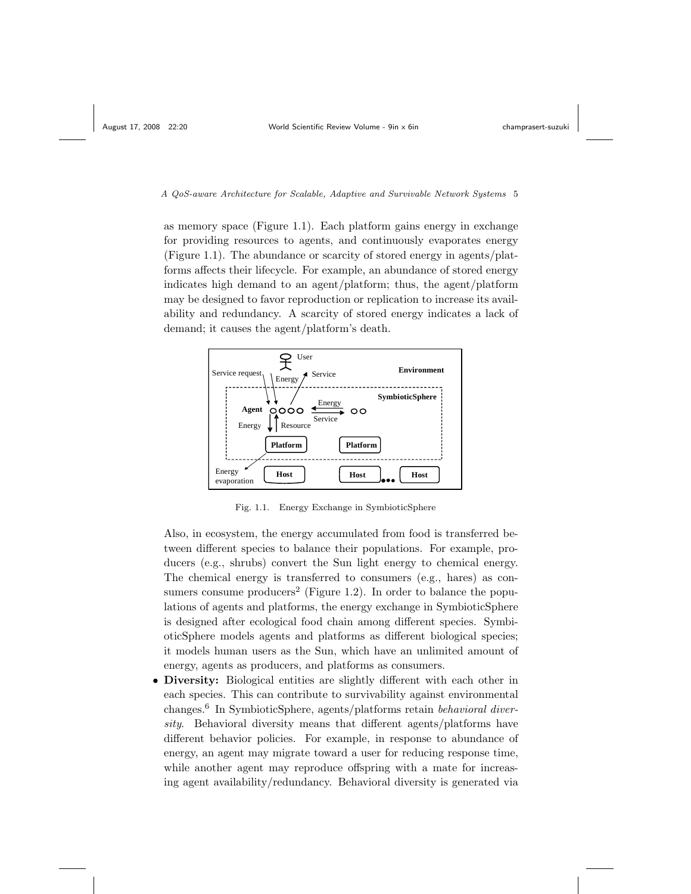as memory space (Figure 1.1). Each platform gains energy in exchange for providing resources to agents, and continuously evaporates energy (Figure 1.1). The abundance or scarcity of stored energy in agents/platforms affects their lifecycle. For example, an abundance of stored energy indicates high demand to an agent/platform; thus, the agent/platform may be designed to favor reproduction or replication to increase its availability and redundancy. A scarcity of stored energy indicates a lack of demand; it causes the agent/platform's death.



Fig. 1.1. Energy Exchange in SymbioticSphere

Also, in ecosystem, the energy accumulated from food is transferred between different species to balance their populations. For example, producers (e.g., shrubs) convert the Sun light energy to chemical energy. The chemical energy is transferred to consumers (e.g., hares) as consumers consume producers<sup>2</sup> (Figure 1.2). In order to balance the populations of agents and platforms, the energy exchange in SymbioticSphere is designed after ecological food chain among different species. SymbioticSphere models agents and platforms as different biological species; it models human users as the Sun, which have an unlimited amount of energy, agents as producers, and platforms as consumers.

• Diversity: Biological entities are slightly different with each other in each species. This can contribute to survivability against environmental changes.<sup>6</sup> In SymbioticSphere, agents/platforms retain behavioral diversity. Behavioral diversity means that different agents/platforms have different behavior policies. For example, in response to abundance of energy, an agent may migrate toward a user for reducing response time, while another agent may reproduce offspring with a mate for increasing agent availability/redundancy. Behavioral diversity is generated via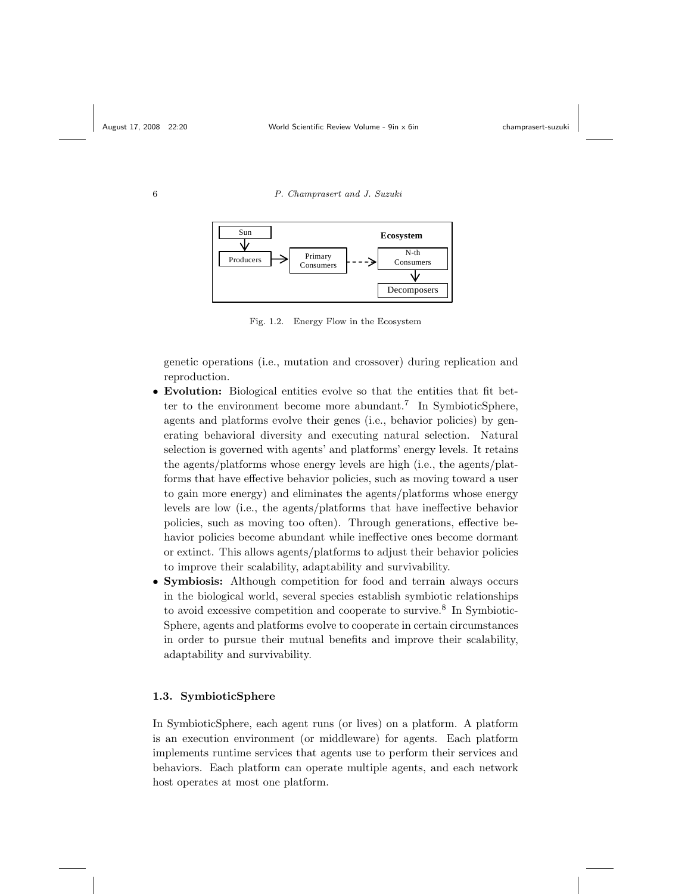

Fig. 1.2. Energy Flow in the Ecosystem

genetic operations (i.e., mutation and crossover) during replication and reproduction.

- Evolution: Biological entities evolve so that the entities that fit better to the environment become more abundant.<sup>7</sup> In SymbioticSphere, agents and platforms evolve their genes (i.e., behavior policies) by generating behavioral diversity and executing natural selection. Natural selection is governed with agents' and platforms' energy levels. It retains the agents/platforms whose energy levels are high (i.e., the agents/platforms that have effective behavior policies, such as moving toward a user to gain more energy) and eliminates the agents/platforms whose energy levels are low (i.e., the agents/platforms that have ineffective behavior policies, such as moving too often). Through generations, effective behavior policies become abundant while ineffective ones become dormant or extinct. This allows agents/platforms to adjust their behavior policies to improve their scalability, adaptability and survivability.
- Symbiosis: Although competition for food and terrain always occurs in the biological world, several species establish symbiotic relationships to avoid excessive competition and cooperate to survive.<sup>8</sup> In Symbiotic-Sphere, agents and platforms evolve to cooperate in certain circumstances in order to pursue their mutual benefits and improve their scalability, adaptability and survivability.

## 1.3. SymbioticSphere

In SymbioticSphere, each agent runs (or lives) on a platform. A platform is an execution environment (or middleware) for agents. Each platform implements runtime services that agents use to perform their services and behaviors. Each platform can operate multiple agents, and each network host operates at most one platform.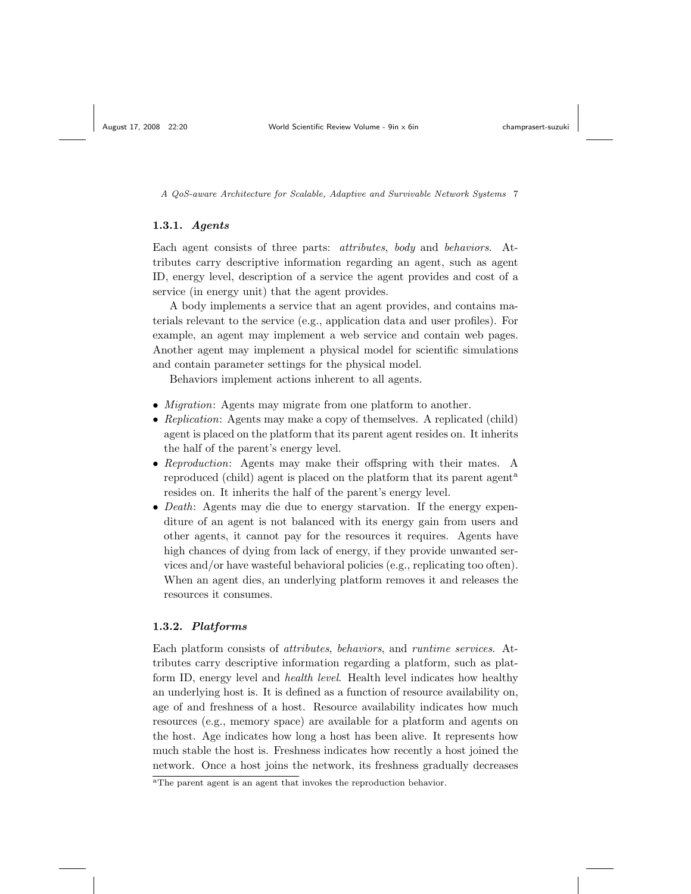### 1.3.1. Agents

Each agent consists of three parts: attributes, body and behaviors. Attributes carry descriptive information regarding an agent, such as agent ID, energy level, description of a service the agent provides and cost of a service (in energy unit) that the agent provides.

A body implements a service that an agent provides, and contains materials relevant to the service (e.g., application data and user profiles). For example, an agent may implement a web service and contain web pages. Another agent may implement a physical model for scientific simulations and contain parameter settings for the physical model.

Behaviors implement actions inherent to all agents.

- *Migration*: Agents may migrate from one platform to another.
- Replication: Agents may make a copy of themselves. A replicated (child) agent is placed on the platform that its parent agent resides on. It inherits the half of the parent's energy level.
- Reproduction: Agents may make their offspring with their mates. A reproduced (child) agent is placed on the platform that its parent agent<sup>a</sup> resides on. It inherits the half of the parent's energy level.
- Death: Agents may die due to energy starvation. If the energy expenditure of an agent is not balanced with its energy gain from users and other agents, it cannot pay for the resources it requires. Agents have high chances of dying from lack of energy, if they provide unwanted services and/or have wasteful behavioral policies (e.g., replicating too often). When an agent dies, an underlying platform removes it and releases the resources it consumes.

## 1.3.2. Platforms

Each platform consists of attributes, behaviors, and runtime services. Attributes carry descriptive information regarding a platform, such as platform ID, energy level and health level. Health level indicates how healthy an underlying host is. It is defined as a function of resource availability on, age of and freshness of a host. Resource availability indicates how much resources (e.g., memory space) are available for a platform and agents on the host. Age indicates how long a host has been alive. It represents how much stable the host is. Freshness indicates how recently a host joined the network. Once a host joins the network, its freshness gradually decreases

<sup>&</sup>lt;sup>a</sup>The parent agent is an agent that invokes the reproduction behavior.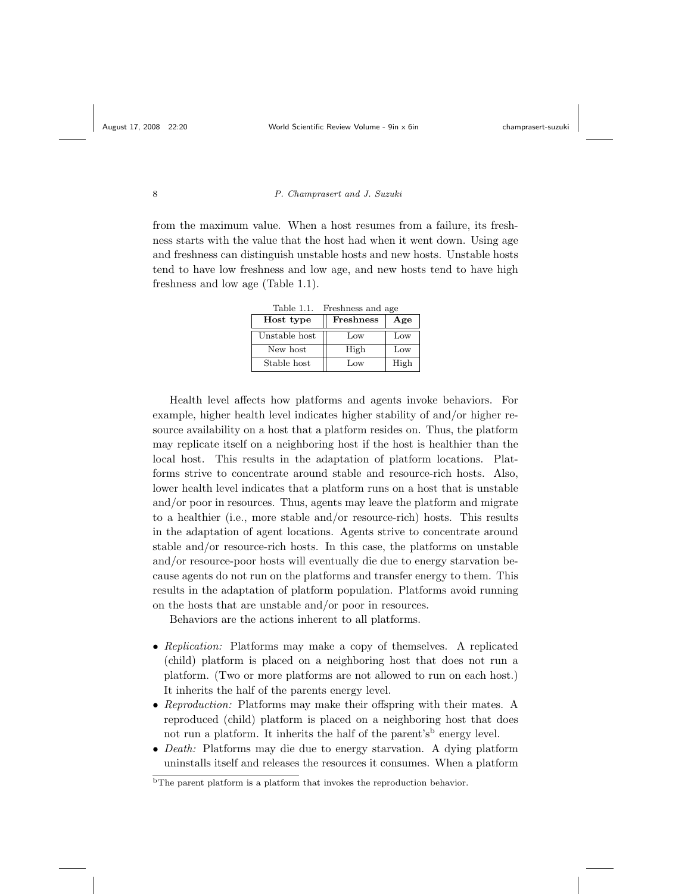from the maximum value. When a host resumes from a failure, its freshness starts with the value that the host had when it went down. Using age and freshness can distinguish unstable hosts and new hosts. Unstable hosts tend to have low freshness and low age, and new hosts tend to have high freshness and low age (Table 1.1).

| Table 1.1.    | Freshness and age |      |
|---------------|-------------------|------|
| Host type     | <b>Freshness</b>  | Age  |
| Unstable host | Low               | Low  |
| New host      | High              | Low  |
| Stable host   | Low               | High |

Health level affects how platforms and agents invoke behaviors. For example, higher health level indicates higher stability of and/or higher resource availability on a host that a platform resides on. Thus, the platform may replicate itself on a neighboring host if the host is healthier than the local host. This results in the adaptation of platform locations. Platforms strive to concentrate around stable and resource-rich hosts. Also, lower health level indicates that a platform runs on a host that is unstable and/or poor in resources. Thus, agents may leave the platform and migrate to a healthier (i.e., more stable and/or resource-rich) hosts. This results in the adaptation of agent locations. Agents strive to concentrate around stable and/or resource-rich hosts. In this case, the platforms on unstable and/or resource-poor hosts will eventually die due to energy starvation because agents do not run on the platforms and transfer energy to them. This results in the adaptation of platform population. Platforms avoid running on the hosts that are unstable and/or poor in resources.

Behaviors are the actions inherent to all platforms.

- Replication: Platforms may make a copy of themselves. A replicated (child) platform is placed on a neighboring host that does not run a platform. (Two or more platforms are not allowed to run on each host.) It inherits the half of the parents energy level.
- Reproduction: Platforms may make their offspring with their mates. A reproduced (child) platform is placed on a neighboring host that does not run a platform. It inherits the half of the parent's<sup>b</sup> energy level.
- *Death:* Platforms may die due to energy starvation. A dying platform uninstalls itself and releases the resources it consumes. When a platform

<sup>&</sup>lt;sup>b</sup>The parent platform is a platform that invokes the reproduction behavior.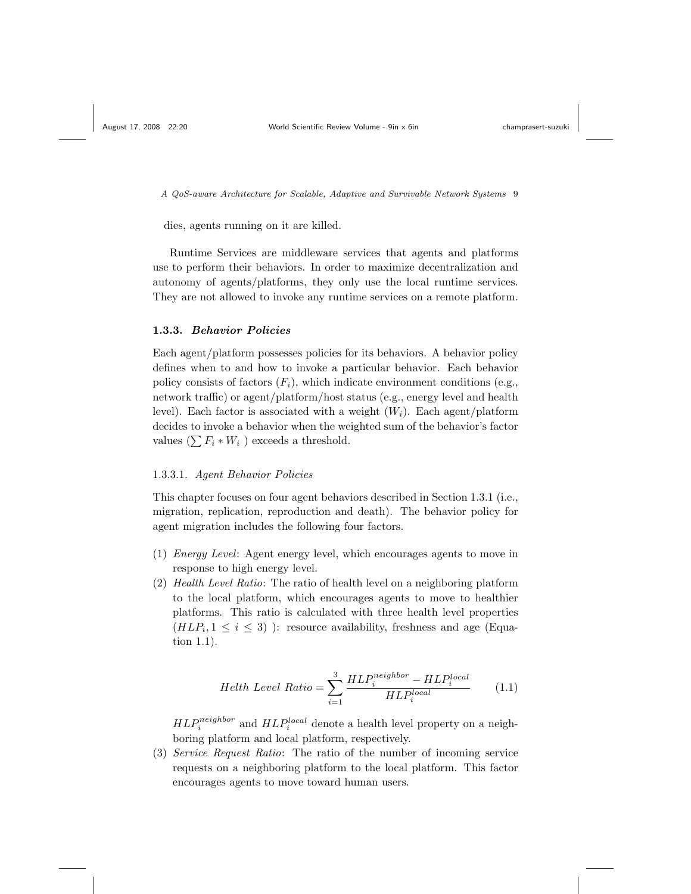dies, agents running on it are killed.

Runtime Services are middleware services that agents and platforms use to perform their behaviors. In order to maximize decentralization and autonomy of agents/platforms, they only use the local runtime services. They are not allowed to invoke any runtime services on a remote platform.

## 1.3.3. Behavior Policies

Each agent/platform possesses policies for its behaviors. A behavior policy defines when to and how to invoke a particular behavior. Each behavior policy consists of factors  $(F_i)$ , which indicate environment conditions (e.g., network traffic) or agent/platform/host status (e.g., energy level and health level). Each factor is associated with a weight  $(W_i)$ . Each agent/platform decides to invoke a behavior when the weighted sum of the behavior's factor values  $(\sum F_i * W_i)$  exceeds a threshold.

### 1.3.3.1. Agent Behavior Policies

This chapter focuses on four agent behaviors described in Section 1.3.1 (i.e., migration, replication, reproduction and death). The behavior policy for agent migration includes the following four factors.

- (1) Energy Level: Agent energy level, which encourages agents to move in response to high energy level.
- (2) Health Level Ratio: The ratio of health level on a neighboring platform to the local platform, which encourages agents to move to healthier platforms. This ratio is calculated with three health level properties  $(HLP_i, 1 \leq i \leq 3)$ ): resource availability, freshness and age (Equation 1.1).

$$
Helth \; Level \; Ratio = \sum_{i=1}^{3} \frac{HLP_i^{neighbor} - HLP_i^{local}}{HLP_i^{local}} \qquad (1.1)
$$

 $HLP_i^{neighbor}$  and  $HLP_i^{local}$  denote a health level property on a neighboring platform and local platform, respectively.

(3) Service Request Ratio: The ratio of the number of incoming service requests on a neighboring platform to the local platform. This factor encourages agents to move toward human users.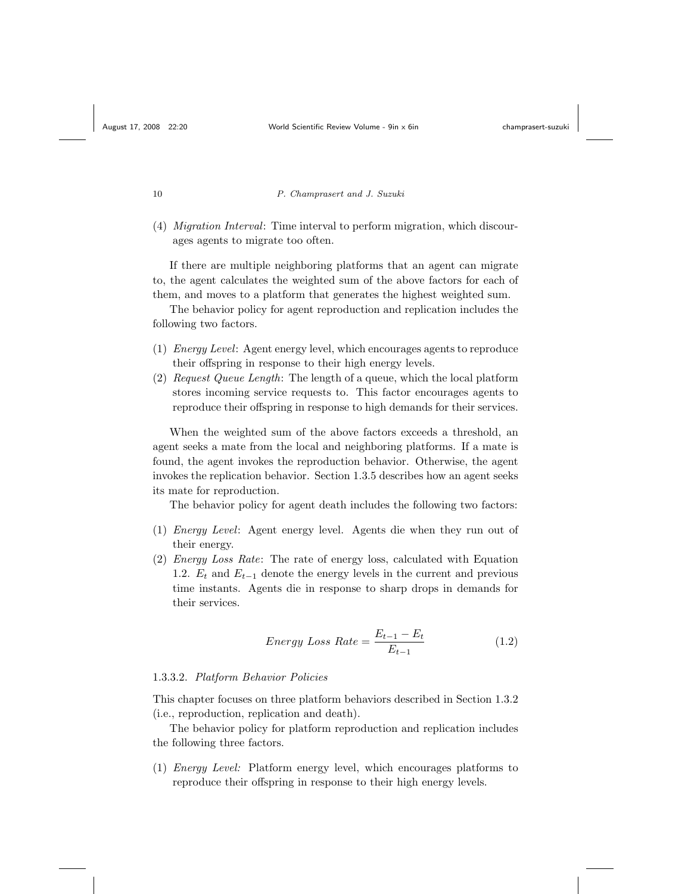(4) Migration Interval: Time interval to perform migration, which discourages agents to migrate too often.

If there are multiple neighboring platforms that an agent can migrate to, the agent calculates the weighted sum of the above factors for each of them, and moves to a platform that generates the highest weighted sum.

The behavior policy for agent reproduction and replication includes the following two factors.

- (1) Energy Level: Agent energy level, which encourages agents to reproduce their offspring in response to their high energy levels.
- (2) Request Queue Length: The length of a queue, which the local platform stores incoming service requests to. This factor encourages agents to reproduce their offspring in response to high demands for their services.

When the weighted sum of the above factors exceeds a threshold, an agent seeks a mate from the local and neighboring platforms. If a mate is found, the agent invokes the reproduction behavior. Otherwise, the agent invokes the replication behavior. Section 1.3.5 describes how an agent seeks its mate for reproduction.

The behavior policy for agent death includes the following two factors:

- (1) Energy Level: Agent energy level. Agents die when they run out of their energy.
- (2) Energy Loss Rate: The rate of energy loss, calculated with Equation 1.2.  $E_t$  and  $E_{t-1}$  denote the energy levels in the current and previous time instants. Agents die in response to sharp drops in demands for their services.

$$
Energy Loss Rate = \frac{E_{t-1} - E_t}{E_{t-1}}
$$
\n(1.2)

### 1.3.3.2. Platform Behavior Policies

This chapter focuses on three platform behaviors described in Section 1.3.2 (i.e., reproduction, replication and death).

The behavior policy for platform reproduction and replication includes the following three factors.

(1) Energy Level: Platform energy level, which encourages platforms to reproduce their offspring in response to their high energy levels.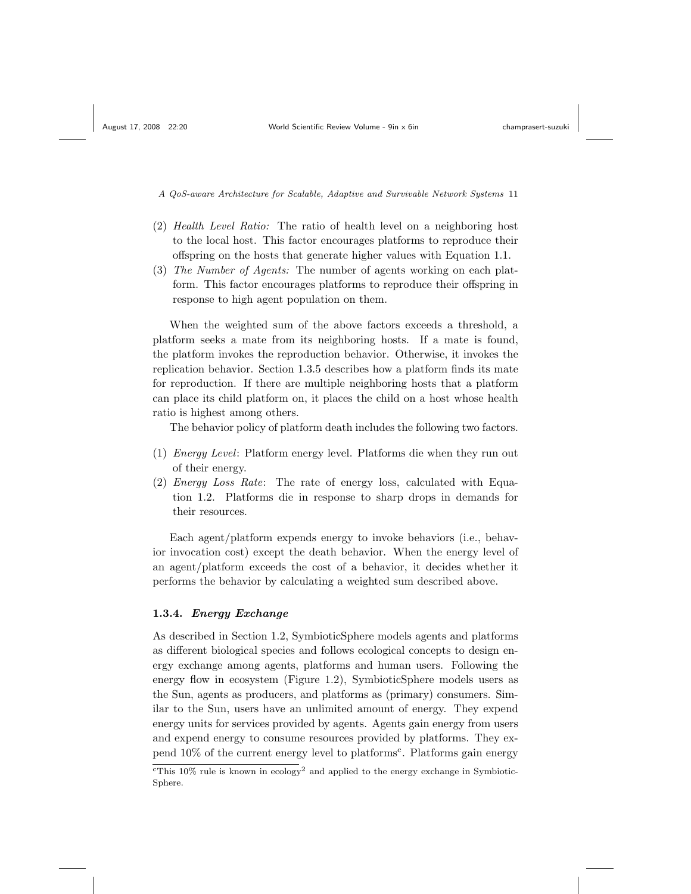- (2) Health Level Ratio: The ratio of health level on a neighboring host to the local host. This factor encourages platforms to reproduce their offspring on the hosts that generate higher values with Equation 1.1.
- (3) The Number of Agents: The number of agents working on each platform. This factor encourages platforms to reproduce their offspring in response to high agent population on them.

When the weighted sum of the above factors exceeds a threshold, a platform seeks a mate from its neighboring hosts. If a mate is found, the platform invokes the reproduction behavior. Otherwise, it invokes the replication behavior. Section 1.3.5 describes how a platform finds its mate for reproduction. If there are multiple neighboring hosts that a platform can place its child platform on, it places the child on a host whose health ratio is highest among others.

The behavior policy of platform death includes the following two factors.

- (1) Energy Level: Platform energy level. Platforms die when they run out of their energy.
- (2) Energy Loss Rate: The rate of energy loss, calculated with Equation 1.2. Platforms die in response to sharp drops in demands for their resources.

Each agent/platform expends energy to invoke behaviors (i.e., behavior invocation cost) except the death behavior. When the energy level of an agent/platform exceeds the cost of a behavior, it decides whether it performs the behavior by calculating a weighted sum described above.

## 1.3.4. Energy Exchange

As described in Section 1.2, SymbioticSphere models agents and platforms as different biological species and follows ecological concepts to design energy exchange among agents, platforms and human users. Following the energy flow in ecosystem (Figure 1.2), SymbioticSphere models users as the Sun, agents as producers, and platforms as (primary) consumers. Similar to the Sun, users have an unlimited amount of energy. They expend energy units for services provided by agents. Agents gain energy from users and expend energy to consume resources provided by platforms. They expend 10% of the current energy level to platforms<sup>c</sup>. Platforms gain energy

 $\overline{c}$ This 10% rule is known in ecology<sup>2</sup> and applied to the energy exchange in Symbiotic-Sphere.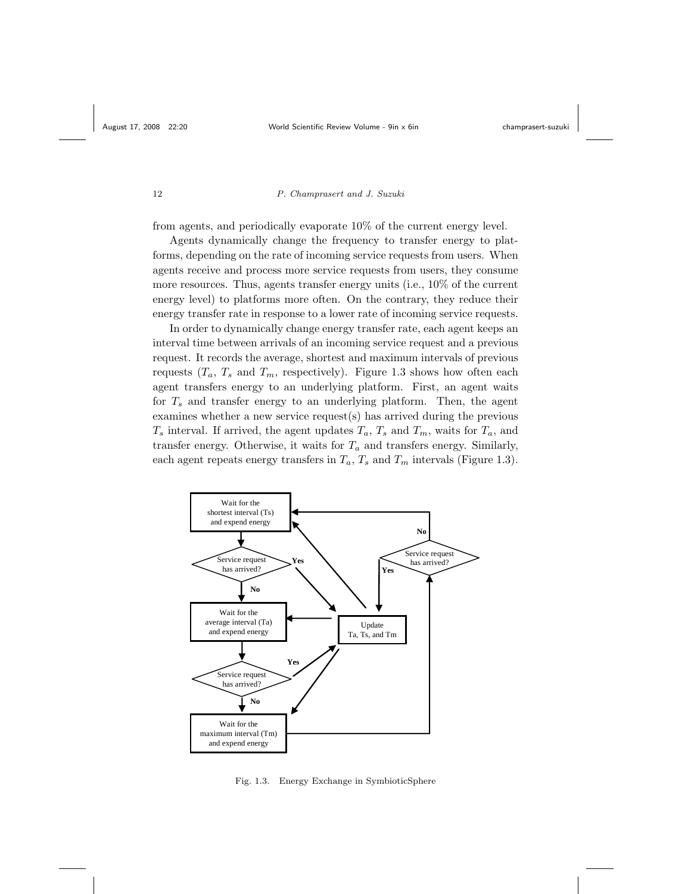from agents, and periodically evaporate 10% of the current energy level.

Agents dynamically change the frequency to transfer energy to platforms, depending on the rate of incoming service requests from users. When agents receive and process more service requests from users, they consume more resources. Thus, agents transfer energy units (i.e., 10% of the current energy level) to platforms more often. On the contrary, they reduce their energy transfer rate in response to a lower rate of incoming service requests.

In order to dynamically change energy transfer rate, each agent keeps an interval time between arrivals of an incoming service request and a previous request. It records the average, shortest and maximum intervals of previous requests  $(T_a, T_s$  and  $T_m$ , respectively). Figure 1.3 shows how often each agent transfers energy to an underlying platform. First, an agent waits for  $T_s$  and transfer energy to an underlying platform. Then, the agent examines whether a new service request(s) has arrived during the previous  $T_s$  interval. If arrived, the agent updates  $T_a$ ,  $T_s$  and  $T_m$ , waits for  $T_a$ , and transfer energy. Otherwise, it waits for  $T_a$  and transfers energy. Similarly, each agent repeats energy transfers in  $T_a$ ,  $T_s$  and  $T_m$  intervals (Figure 1.3).



Fig. 1.3. Energy Exchange in SymbioticSphere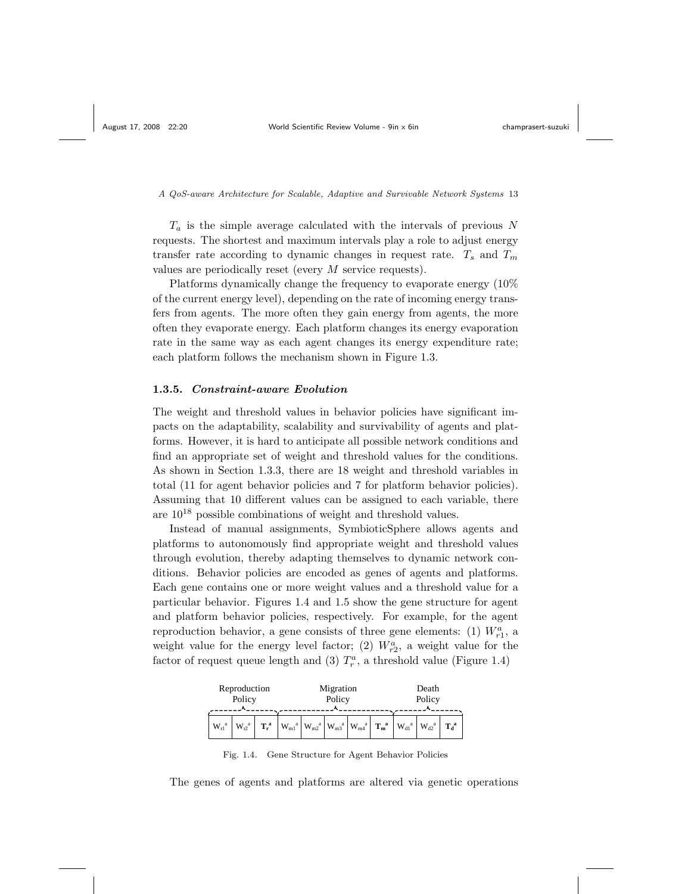$T_a$  is the simple average calculated with the intervals of previous N requests. The shortest and maximum intervals play a role to adjust energy transfer rate according to dynamic changes in request rate.  $T_s$  and  $T_m$ values are periodically reset (every M service requests).

Platforms dynamically change the frequency to evaporate energy (10% of the current energy level), depending on the rate of incoming energy transfers from agents. The more often they gain energy from agents, the more often they evaporate energy. Each platform changes its energy evaporation rate in the same way as each agent changes its energy expenditure rate; each platform follows the mechanism shown in Figure 1.3.

### 1.3.5. Constraint-aware Evolution

The weight and threshold values in behavior policies have significant impacts on the adaptability, scalability and survivability of agents and platforms. However, it is hard to anticipate all possible network conditions and find an appropriate set of weight and threshold values for the conditions. As shown in Section 1.3.3, there are 18 weight and threshold variables in total (11 for agent behavior policies and 7 for platform behavior policies). Assuming that 10 different values can be assigned to each variable, there are  $10^{18}$  possible combinations of weight and threshold values.

Instead of manual assignments, SymbioticSphere allows agents and platforms to autonomously find appropriate weight and threshold values through evolution, thereby adapting themselves to dynamic network conditions. Behavior policies are encoded as genes of agents and platforms. Each gene contains one or more weight values and a threshold value for a particular behavior. Figures 1.4 and 1.5 show the gene structure for agent and platform behavior policies, respectively. For example, for the agent reproduction behavior, a gene consists of three gene elements: (1)  $W_{r1}^a$ , a weight value for the energy level factor; (2)  $W_{r2}^a$ , a weight value for the factor of request queue length and (3)  $T_r^a$ , a threshold value (Figure 1.4)



Fig. 1.4. Gene Structure for Agent Behavior Policies

The genes of agents and platforms are altered via genetic operations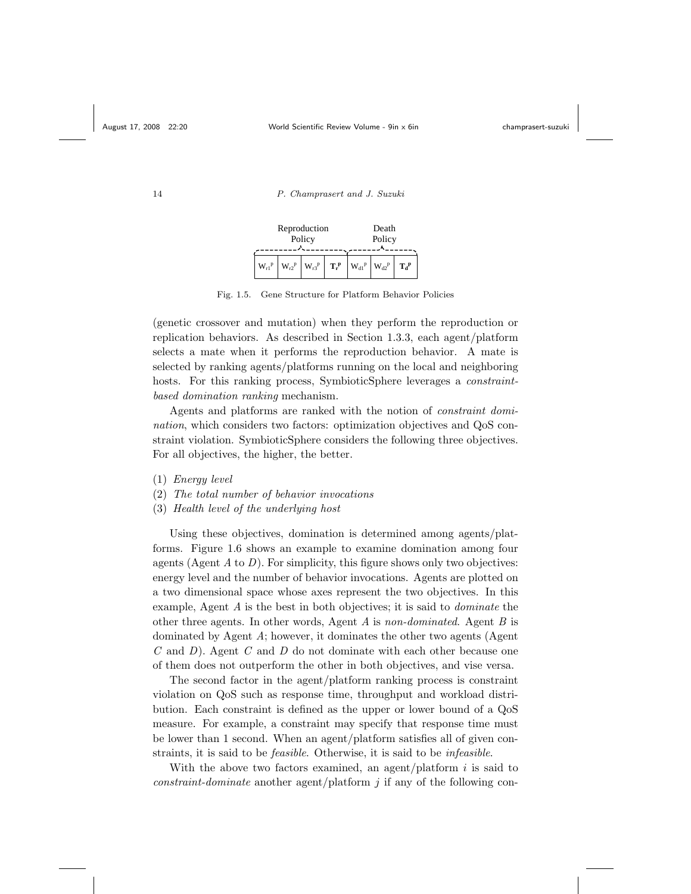### August 17, 2008 22:20 World Scientific Review Volume - 9in x 6in champrasert-suzuki

14 P. Champrasert and J. Suzuki



Fig. 1.5. Gene Structure for Platform Behavior Policies

(genetic crossover and mutation) when they perform the reproduction or replication behaviors. As described in Section 1.3.3, each agent/platform selects a mate when it performs the reproduction behavior. A mate is selected by ranking agents/platforms running on the local and neighboring hosts. For this ranking process, SymbioticSphere leverages a *constraint*based domination ranking mechanism.

Agents and platforms are ranked with the notion of constraint domination, which considers two factors: optimization objectives and QoS constraint violation. SymbioticSphere considers the following three objectives. For all objectives, the higher, the better.

- (1) Energy level
- (2) The total number of behavior invocations
- (3) Health level of the underlying host

Using these objectives, domination is determined among agents/platforms. Figure 1.6 shows an example to examine domination among four agents (Agent A to  $D$ ). For simplicity, this figure shows only two objectives: energy level and the number of behavior invocations. Agents are plotted on a two dimensional space whose axes represent the two objectives. In this example, Agent A is the best in both objectives; it is said to dominate the other three agents. In other words, Agent A is non-dominated. Agent B is dominated by Agent A; however, it dominates the other two agents (Agent  $C$  and  $D$ ). Agent  $C$  and  $D$  do not dominate with each other because one of them does not outperform the other in both objectives, and vise versa.

The second factor in the agent/platform ranking process is constraint violation on QoS such as response time, throughput and workload distribution. Each constraint is defined as the upper or lower bound of a QoS measure. For example, a constraint may specify that response time must be lower than 1 second. When an agent/platform satisfies all of given constraints, it is said to be feasible. Otherwise, it is said to be infeasible.

With the above two factors examined, an agent/platform  $i$  is said to constraint-dominate another agent/platform  $j$  if any of the following con-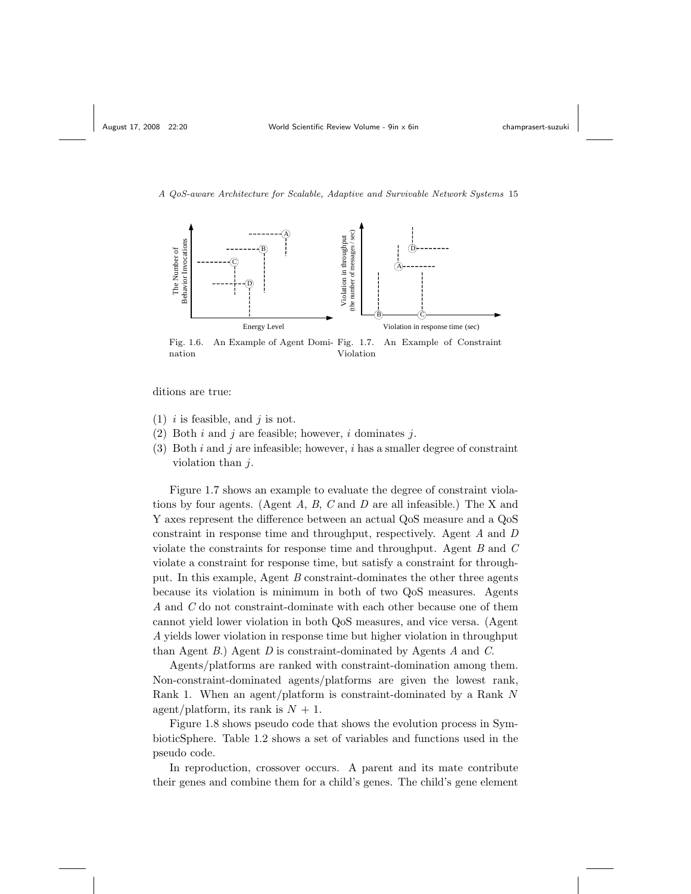

Fig. 1.6. An Example of Agent Domination An Example of Constraint Violation

ditions are true:

- $(1)$  *i* is feasible, and *j* is not.
- (2) Both  $i$  and  $j$  are feasible; however,  $i$  dominates  $j$ .
- (3) Both i and j are infeasible; however, i has a smaller degree of constraint violation than j.

Figure 1.7 shows an example to evaluate the degree of constraint violations by four agents. (Agent A, B, C and D are all infeasible.) The X and Y axes represent the difference between an actual QoS measure and a QoS constraint in response time and throughput, respectively. Agent A and D violate the constraints for response time and throughput. Agent B and C violate a constraint for response time, but satisfy a constraint for throughput. In this example, Agent B constraint-dominates the other three agents because its violation is minimum in both of two QoS measures. Agents A and C do not constraint-dominate with each other because one of them cannot yield lower violation in both QoS measures, and vice versa. (Agent A yields lower violation in response time but higher violation in throughput than Agent  $B$ .) Agent  $D$  is constraint-dominated by Agents  $A$  and  $C$ .

Agents/platforms are ranked with constraint-domination among them. Non-constraint-dominated agents/platforms are given the lowest rank, Rank 1. When an agent/platform is constraint-dominated by a Rank N agent/platform, its rank is  $N + 1$ .

Figure 1.8 shows pseudo code that shows the evolution process in SymbioticSphere. Table 1.2 shows a set of variables and functions used in the pseudo code.

In reproduction, crossover occurs. A parent and its mate contribute their genes and combine them for a child's genes. The child's gene element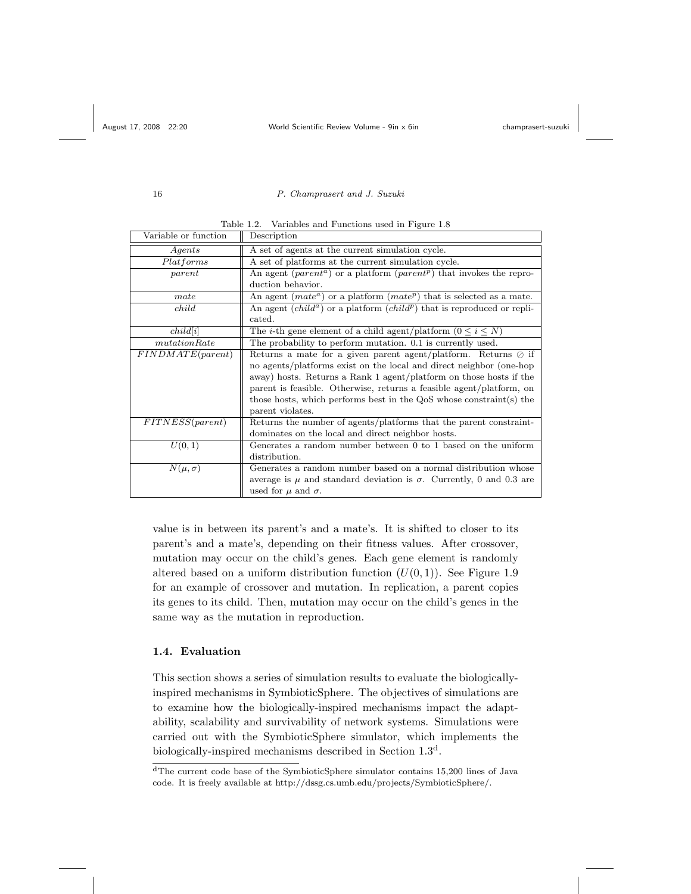## August 17, 2008 22:20 World Scientific Review Volume - 9in x 6in champrasert-suzuki

#### 16 P. Champrasert and J. Suzuki

| Variable or function | Description                                                                                           |  |  |
|----------------------|-------------------------------------------------------------------------------------------------------|--|--|
| Agents               | A set of agents at the current simulation cycle.                                                      |  |  |
| Platforms            | A set of platforms at the current simulation cycle.                                                   |  |  |
| parent               | An agent (parent <sup>a</sup> ) or a platform (parent <sup>p</sup> ) that invokes the repro-          |  |  |
|                      | duction behavior.                                                                                     |  |  |
| mate                 | An agent $(mate^a)$ or a platform $(mate^p)$ that is selected as a mate.                              |  |  |
| child                | An agent $\left( child^a \right)$ or a platform $\left( child^p \right)$ that is reproduced or repli- |  |  |
|                      | cated.                                                                                                |  |  |
| child[i]             | The <i>i</i> -th gene element of a child agent/platform $(0 \le i \le N)$                             |  |  |
| mutationRate         | The probability to perform mutation. 0.1 is currently used.                                           |  |  |
| FINDMATE(parent)     | Returns a mate for a given parent agent/platform. Returns $\oslash$ if                                |  |  |
|                      | no agents/platforms exist on the local and direct neighbor (one-hop                                   |  |  |
|                      | away) hosts. Returns a Rank 1 agent/platform on those hosts if the                                    |  |  |
|                      | parent is feasible. Otherwise, returns a feasible agent/platform, on                                  |  |  |
|                      | those hosts, which performs best in the $QoS$ whose constraint(s) the                                 |  |  |
|                      | parent violates.                                                                                      |  |  |
| FITNESS(parent)      | Returns the number of agents/platforms that the parent constraint-                                    |  |  |
|                      | dominates on the local and direct neighbor hosts.                                                     |  |  |
| U(0,1)               | Generates a random number between 0 to 1 based on the uniform                                         |  |  |
|                      | distribution.                                                                                         |  |  |
| $N(\mu, \sigma)$     | Generates a random number based on a normal distribution whose                                        |  |  |
|                      | average is $\mu$ and standard deviation is $\sigma$ . Currently, 0 and 0.3 are                        |  |  |
|                      | used for $\mu$ and $\sigma$ .                                                                         |  |  |

Table 1.2. Variables and Functions used in Figure 1.8

value is in between its parent's and a mate's. It is shifted to closer to its parent's and a mate's, depending on their fitness values. After crossover, mutation may occur on the child's genes. Each gene element is randomly altered based on a uniform distribution function  $(U(0, 1))$ . See Figure 1.9 for an example of crossover and mutation. In replication, a parent copies its genes to its child. Then, mutation may occur on the child's genes in the same way as the mutation in reproduction.

## 1.4. Evaluation

This section shows a series of simulation results to evaluate the biologicallyinspired mechanisms in SymbioticSphere. The objectives of simulations are to examine how the biologically-inspired mechanisms impact the adaptability, scalability and survivability of network systems. Simulations were carried out with the SymbioticSphere simulator, which implements the biologically-inspired mechanisms described in Section 1.3<sup>d</sup> .

<sup>d</sup>The current code base of the SymbioticSphere simulator contains 15,200 lines of Java code. It is freely available at http://dssg.cs.umb.edu/projects/SymbioticSphere/.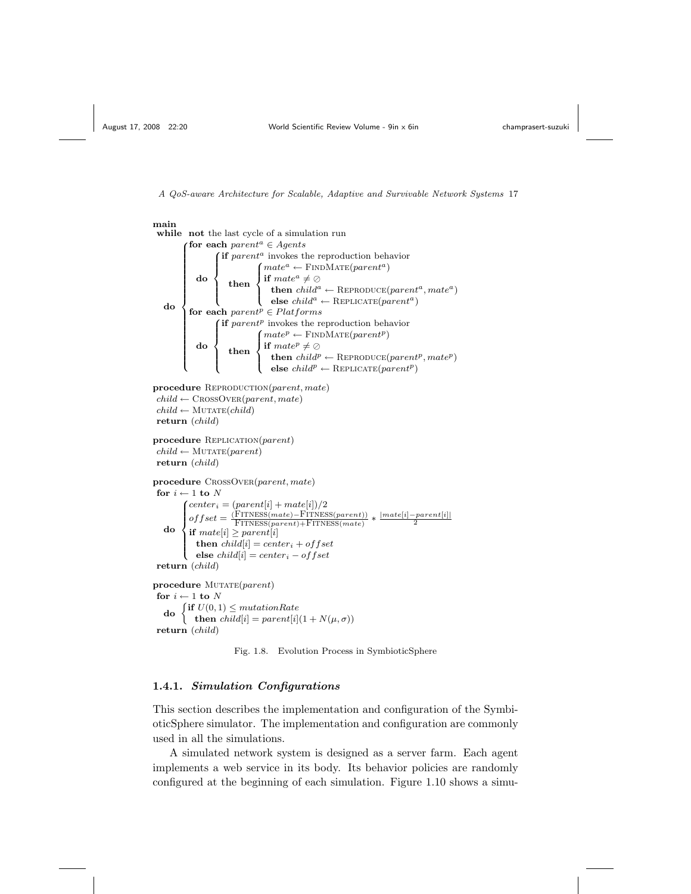main while not the last cycle of a simulation run do for each parent<sup>a</sup>  $\in$  Agents |<br>|<br>|<br>|<br>|  $\overline{\phantom{a}}$ do  $\int$  if parent<sup>a</sup> invokes the reproduction behavior  $\int$  $\mid$ then  $\int mate^a \leftarrow \text{FINDMATE}(parent^a)$  $\int$  if  $mate^a \neq \oslash$ >>: else child<sup>a</sup> ← Replicate(parenta) then  $child^a \leftarrow$  REPRODUCE $(parent^a, mate^a)$ for each  $parent^p \in Platforms$ do  $\int$  $\vert$ if  $parent<sup>p</sup>$  invokes the reproduction behavior then  $\int mate^p \leftarrow \text{FINDMATE}(parent^p)$  $\int$  if  $mate^p \neq \emptyset$  $\mathcal{L}$ then  $child^p \leftarrow$  REPRODUCE(parent<sup>p</sup>, mate<sup>p</sup>) else  $child^p \leftarrow \text{REPLICATE}(parent^p)$  $procedure$  REPRODUCTION(*parent, mate*)  $child \leftarrow$  CROSSOVER(parent, mate)  $child \leftarrow$  MUTATE $\left(child\right)$ return (child) procedure REPLICATION(parent)  $child \leftarrow$  MUTATE(*parent*) return (child) procedure CrossOver(parent, mate) for  $i \leftarrow 1$  to  $N$ do  $\int center_i = (parent[i] + mate[i])/2$  $\begin{cases} \text{offset} = \frac{\frac{1}{(FITNESS(mate) - FITNESS(parent))}}{\frac{1}{FITNESS(parent) + FITNESS(mate))}} \end{cases}$  $\left\{ \right.$  $\frac{F[TIMESS(mate) - F[TIMESS(parent))}{P[TIMESS(mate)]} * \frac{|mate[i] - parent[i]|}{2}$ if  $mate[i] \geq parent[i]$ then  $child[i] = center_i + offset$ else  $child[i] = center_i - offset$ return (child)  $procedure$  MUTATE( $parent$ ) for  $i \leftarrow 1$  to  $N$ do  $\int$  if  $U(0, 1) \leq mutationRate$ **then**  $child[i] = parent[i](1 + N(\mu, \sigma))$ return (child)

Fig. 1.8. Evolution Process in SymbioticSphere

## 1.4.1. Simulation Configurations

This section describes the implementation and configuration of the SymbioticSphere simulator. The implementation and configuration are commonly used in all the simulations.

A simulated network system is designed as a server farm. Each agent implements a web service in its body. Its behavior policies are randomly configured at the beginning of each simulation. Figure 1.10 shows a simu-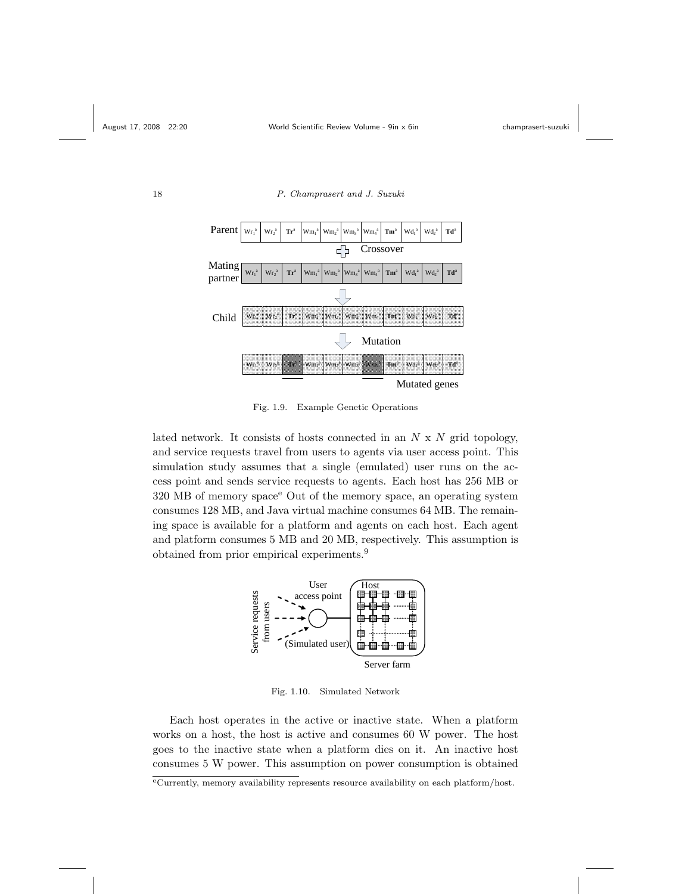

Fig. 1.9. Example Genetic Operations

lated network. It consists of hosts connected in an  $N \times N$  grid topology, and service requests travel from users to agents via user access point. This simulation study assumes that a single (emulated) user runs on the access point and sends service requests to agents. Each host has 256 MB or  $320$  MB of memory space<sup>e</sup> Out of the memory space, an operating system consumes 128 MB, and Java virtual machine consumes 64 MB. The remaining space is available for a platform and agents on each host. Each agent and platform consumes 5 MB and 20 MB, respectively. This assumption is obtained from prior empirical experiments.<sup>9</sup>



Fig. 1.10. Simulated Network

Each host operates in the active or inactive state. When a platform works on a host, the host is active and consumes 60 W power. The host goes to the inactive state when a platform dies on it. An inactive host consumes 5 W power. This assumption on power consumption is obtained

<sup>e</sup>Currently, memory availability represents resource availability on each platform/host.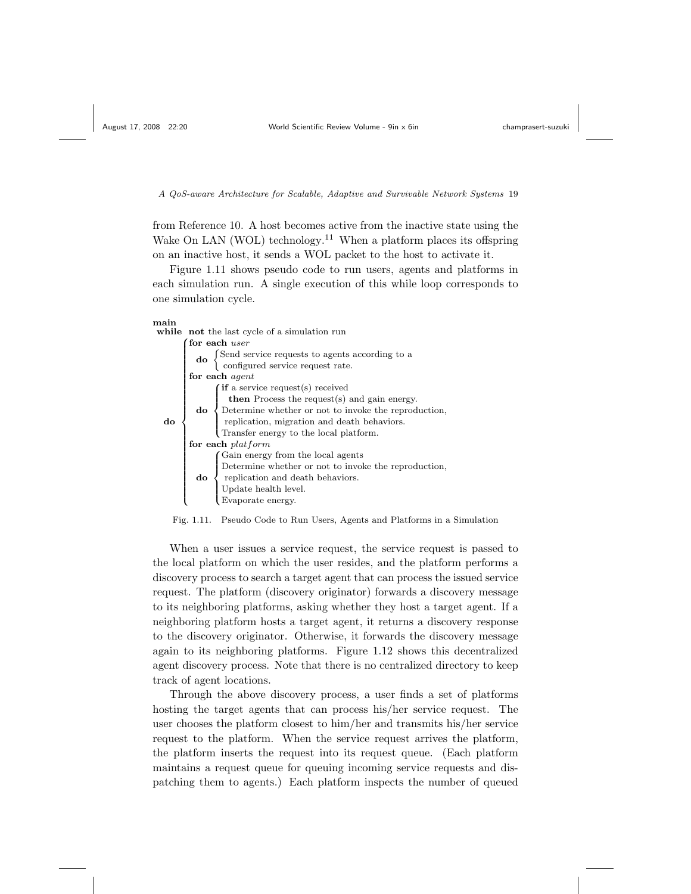from Reference 10. A host becomes active from the inactive state using the Wake On LAN (WOL) technology.<sup>11</sup> When a platform places its offspring on an inactive host, it sends a WOL packet to the host to activate it.

Figure 1.11 shows pseudo code to run users, agents and platforms in each simulation run. A single execution of this while loop corresponds to one simulation cycle.

#### main

|  | while not the last cycle of a simulation run                                                                                              |                                                                                                                                                                                                                                               |  |  |  |  |
|--|-------------------------------------------------------------------------------------------------------------------------------------------|-----------------------------------------------------------------------------------------------------------------------------------------------------------------------------------------------------------------------------------------------|--|--|--|--|
|  | for each <i>user</i>                                                                                                                      |                                                                                                                                                                                                                                               |  |  |  |  |
|  | $\mbox{\bf do }\begin{cases} \mbox{Send service requests to agents according to a} \\ \mbox{confirmed service request rate}. \end{cases}$ |                                                                                                                                                                                                                                               |  |  |  |  |
|  |                                                                                                                                           |                                                                                                                                                                                                                                               |  |  |  |  |
|  | for each agent                                                                                                                            |                                                                                                                                                                                                                                               |  |  |  |  |
|  |                                                                                                                                           |                                                                                                                                                                                                                                               |  |  |  |  |
|  |                                                                                                                                           | order that a service request(s) received<br>then Process the request(s) and gain energy.<br>do a Determine whether or not to invoke the reproduction,<br>replication, migration and death behaviors.<br>Transfer energy to the local p        |  |  |  |  |
|  |                                                                                                                                           |                                                                                                                                                                                                                                               |  |  |  |  |
|  |                                                                                                                                           |                                                                                                                                                                                                                                               |  |  |  |  |
|  |                                                                                                                                           |                                                                                                                                                                                                                                               |  |  |  |  |
|  | for each platform                                                                                                                         |                                                                                                                                                                                                                                               |  |  |  |  |
|  |                                                                                                                                           |                                                                                                                                                                                                                                               |  |  |  |  |
|  |                                                                                                                                           | $\mbox{\bf do} \begin{cases} {\rm Gain~energy~from~the~local~agents} \\ {\rm Determine~whether~or~not~to~invoke~the~reproduction,} \\ {\rm replication~and~death~behavors.} \\ {\rm Update~ healthy.} \\ {\rm Evaporate~energy.} \end{cases}$ |  |  |  |  |
|  |                                                                                                                                           |                                                                                                                                                                                                                                               |  |  |  |  |
|  |                                                                                                                                           |                                                                                                                                                                                                                                               |  |  |  |  |
|  |                                                                                                                                           |                                                                                                                                                                                                                                               |  |  |  |  |

Fig. 1.11. Pseudo Code to Run Users, Agents and Platforms in a Simulation

When a user issues a service request, the service request is passed to the local platform on which the user resides, and the platform performs a discovery process to search a target agent that can process the issued service request. The platform (discovery originator) forwards a discovery message to its neighboring platforms, asking whether they host a target agent. If a neighboring platform hosts a target agent, it returns a discovery response to the discovery originator. Otherwise, it forwards the discovery message again to its neighboring platforms. Figure 1.12 shows this decentralized agent discovery process. Note that there is no centralized directory to keep track of agent locations.

Through the above discovery process, a user finds a set of platforms hosting the target agents that can process his/her service request. The user chooses the platform closest to him/her and transmits his/her service request to the platform. When the service request arrives the platform, the platform inserts the request into its request queue. (Each platform maintains a request queue for queuing incoming service requests and dispatching them to agents.) Each platform inspects the number of queued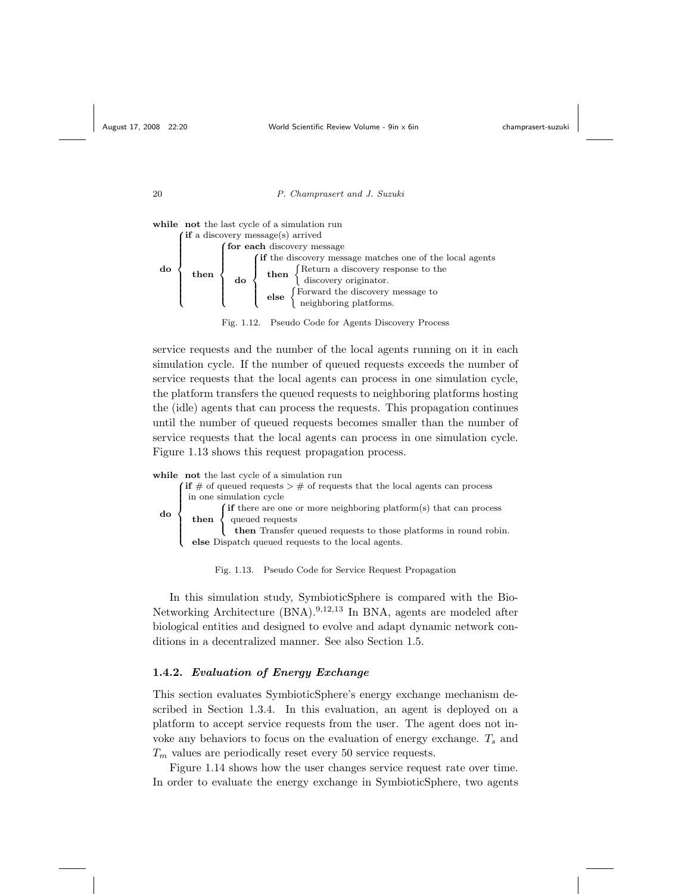|    | while not the last cycle of a simulation run |          |  |                                                                                                                                           |  |  |
|----|----------------------------------------------|----------|--|-------------------------------------------------------------------------------------------------------------------------------------------|--|--|
|    | $\int$ if a discovery message(s) arrived     |          |  |                                                                                                                                           |  |  |
|    | (for each discovery message                  |          |  |                                                                                                                                           |  |  |
| do | then <                                       | $\bf{d}$ |  | $\boldsymbol{\mathsf{f}}$ if the discovery message matches one of the local agents                                                        |  |  |
|    |                                              |          |  | $\textbf{then } \left\{ \begin{matrix} \text {Return a discovery response to the} \\ \text { discovery originator.} \end{matrix} \right.$ |  |  |
|    |                                              |          |  | <b>else</b> $\begin{cases}$ Forward the discovery message to neighboring platforms.                                                       |  |  |
|    |                                              |          |  |                                                                                                                                           |  |  |

Fig. 1.12. Pseudo Code for Agents Discovery Process

service requests and the number of the local agents running on it in each simulation cycle. If the number of queued requests exceeds the number of service requests that the local agents can process in one simulation cycle, the platform transfers the queued requests to neighboring platforms hosting the (idle) agents that can process the requests. This propagation continues until the number of queued requests becomes smaller than the number of service requests that the local agents can process in one simulation cycle. Figure 1.13 shows this request propagation process.

|  |                                                                                                                                                                                                                                                                                                                                                                                                     | while not the last cycle of a simulation run |  |  |  |  |
|--|-----------------------------------------------------------------------------------------------------------------------------------------------------------------------------------------------------------------------------------------------------------------------------------------------------------------------------------------------------------------------------------------------------|----------------------------------------------|--|--|--|--|
|  | $\text{do} \begin{cases} \text{if } \# \text{ of queued requests } > \# \text{ of requests that the local agents can process} \\ \text{in one simulation cycle} \\ \text{then } \begin{cases} \text{if there are one or more neighboring platform(s) that can process} \\ \text{quued requests} \\ \text{then Transfer queued requests to those platforms in round robin.} \end{cases} \end{cases}$ |                                              |  |  |  |  |
|  |                                                                                                                                                                                                                                                                                                                                                                                                     |                                              |  |  |  |  |
|  |                                                                                                                                                                                                                                                                                                                                                                                                     |                                              |  |  |  |  |
|  |                                                                                                                                                                                                                                                                                                                                                                                                     |                                              |  |  |  |  |
|  |                                                                                                                                                                                                                                                                                                                                                                                                     |                                              |  |  |  |  |
|  | else Dispatch queued requests to the local agents.                                                                                                                                                                                                                                                                                                                                                  |                                              |  |  |  |  |

Fig. 1.13. Pseudo Code for Service Request Propagation

In this simulation study, SymbioticSphere is compared with the Bio-Networking Architecture (BNA).9,12,13 In BNA, agents are modeled after biological entities and designed to evolve and adapt dynamic network conditions in a decentralized manner. See also Section 1.5.

### 1.4.2. Evaluation of Energy Exchange

This section evaluates SymbioticSphere's energy exchange mechanism described in Section 1.3.4. In this evaluation, an agent is deployed on a platform to accept service requests from the user. The agent does not invoke any behaviors to focus on the evaluation of energy exchange.  $T_s$  and  $T_m$  values are periodically reset every 50 service requests.

Figure 1.14 shows how the user changes service request rate over time. In order to evaluate the energy exchange in SymbioticSphere, two agents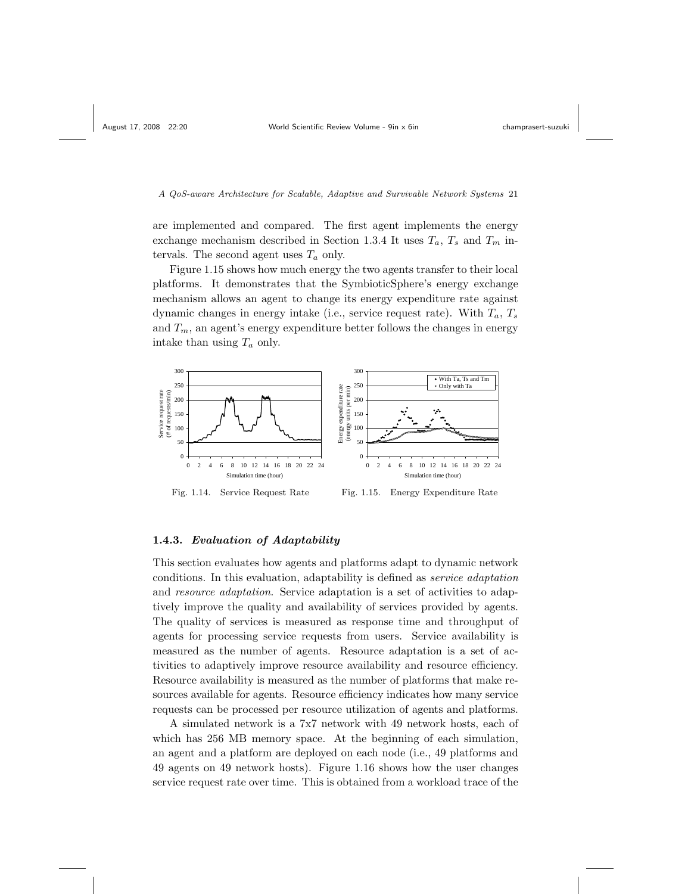are implemented and compared. The first agent implements the energy exchange mechanism described in Section 1.3.4 It uses  $T_a$ ,  $T_s$  and  $T_m$  intervals. The second agent uses  $T_a$  only.

Figure 1.15 shows how much energy the two agents transfer to their local platforms. It demonstrates that the SymbioticSphere's energy exchange mechanism allows an agent to change its energy expenditure rate against dynamic changes in energy intake (i.e., service request rate). With  $T_a$ ,  $T_s$ and  $T_m$ , an agent's energy expenditure better follows the changes in energy intake than using  $T_a$  only.



Fig. 1.14. Service Request Rate Fig. 1.15. Energy Expenditure Rate

## 1.4.3. Evaluation of Adaptability

This section evaluates how agents and platforms adapt to dynamic network conditions. In this evaluation, adaptability is defined as service adaptation and *resource adaptation*. Service adaptation is a set of activities to adaptively improve the quality and availability of services provided by agents. The quality of services is measured as response time and throughput of agents for processing service requests from users. Service availability is measured as the number of agents. Resource adaptation is a set of activities to adaptively improve resource availability and resource efficiency. Resource availability is measured as the number of platforms that make resources available for agents. Resource efficiency indicates how many service requests can be processed per resource utilization of agents and platforms.

A simulated network is a 7x7 network with 49 network hosts, each of which has 256 MB memory space. At the beginning of each simulation, an agent and a platform are deployed on each node (i.e., 49 platforms and 49 agents on 49 network hosts). Figure 1.16 shows how the user changes service request rate over time. This is obtained from a workload trace of the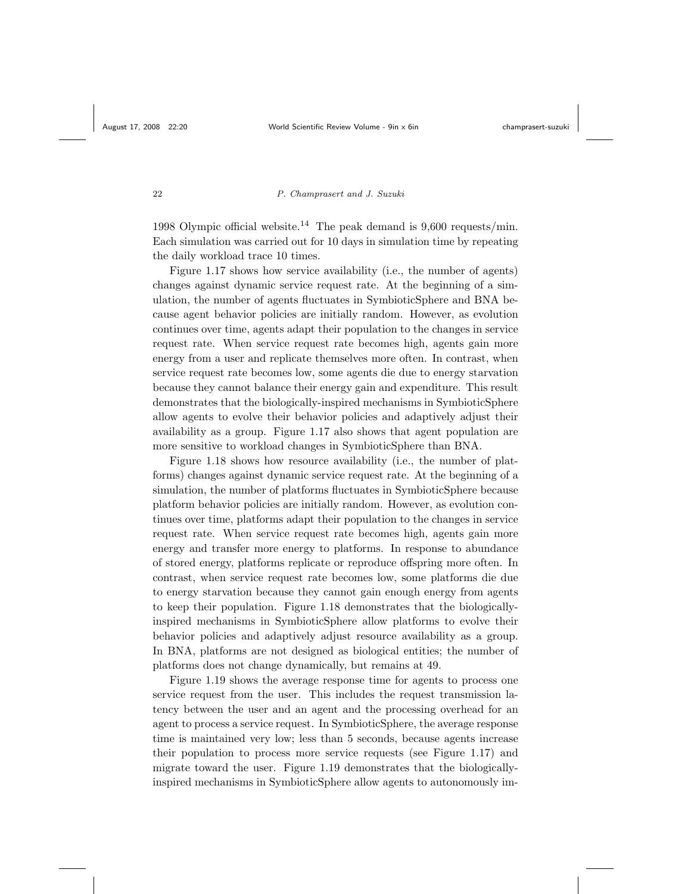1998 Olympic official website.<sup>14</sup> The peak demand is 9,600 requests/min. Each simulation was carried out for 10 days in simulation time by repeating the daily workload trace 10 times.

Figure 1.17 shows how service availability (i.e., the number of agents) changes against dynamic service request rate. At the beginning of a simulation, the number of agents fluctuates in SymbioticSphere and BNA because agent behavior policies are initially random. However, as evolution continues over time, agents adapt their population to the changes in service request rate. When service request rate becomes high, agents gain more energy from a user and replicate themselves more often. In contrast, when service request rate becomes low, some agents die due to energy starvation because they cannot balance their energy gain and expenditure. This result demonstrates that the biologically-inspired mechanisms in SymbioticSphere allow agents to evolve their behavior policies and adaptively adjust their availability as a group. Figure 1.17 also shows that agent population are more sensitive to workload changes in SymbioticSphere than BNA.

Figure 1.18 shows how resource availability (i.e., the number of platforms) changes against dynamic service request rate. At the beginning of a simulation, the number of platforms fluctuates in SymbioticSphere because platform behavior policies are initially random. However, as evolution continues over time, platforms adapt their population to the changes in service request rate. When service request rate becomes high, agents gain more energy and transfer more energy to platforms. In response to abundance of stored energy, platforms replicate or reproduce offspring more often. In contrast, when service request rate becomes low, some platforms die due to energy starvation because they cannot gain enough energy from agents to keep their population. Figure 1.18 demonstrates that the biologicallyinspired mechanisms in SymbioticSphere allow platforms to evolve their behavior policies and adaptively adjust resource availability as a group. In BNA, platforms are not designed as biological entities; the number of platforms does not change dynamically, but remains at 49.

Figure 1.19 shows the average response time for agents to process one service request from the user. This includes the request transmission latency between the user and an agent and the processing overhead for an agent to process a service request. In SymbioticSphere, the average response time is maintained very low; less than 5 seconds, because agents increase their population to process more service requests (see Figure 1.17) and migrate toward the user. Figure 1.19 demonstrates that the biologicallyinspired mechanisms in SymbioticSphere allow agents to autonomously im-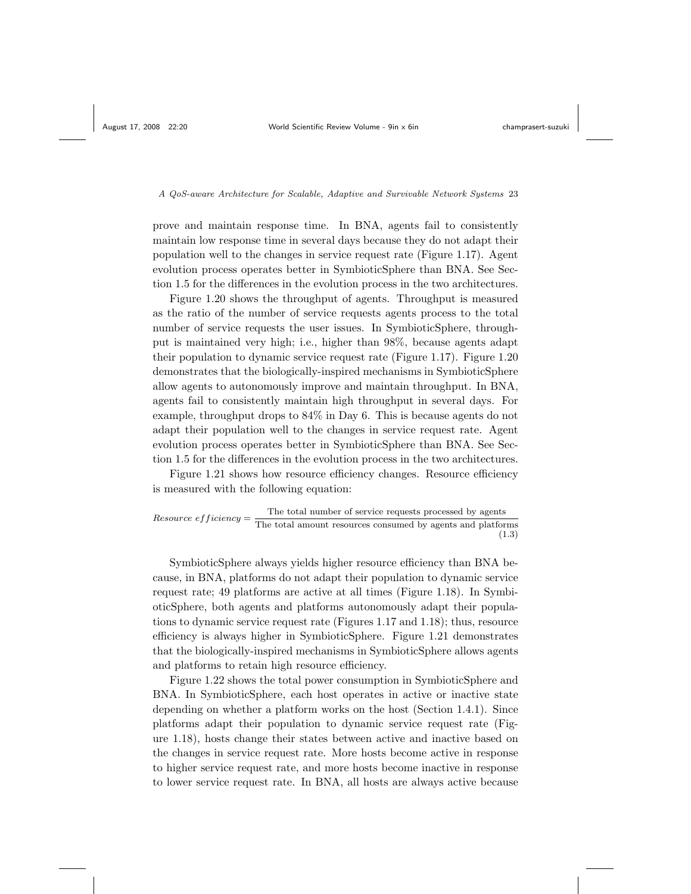prove and maintain response time. In BNA, agents fail to consistently maintain low response time in several days because they do not adapt their population well to the changes in service request rate (Figure 1.17). Agent evolution process operates better in SymbioticSphere than BNA. See Section 1.5 for the differences in the evolution process in the two architectures.

Figure 1.20 shows the throughput of agents. Throughput is measured as the ratio of the number of service requests agents process to the total number of service requests the user issues. In SymbioticSphere, throughput is maintained very high; i.e., higher than 98%, because agents adapt their population to dynamic service request rate (Figure 1.17). Figure 1.20 demonstrates that the biologically-inspired mechanisms in SymbioticSphere allow agents to autonomously improve and maintain throughput. In BNA, agents fail to consistently maintain high throughput in several days. For example, throughput drops to 84% in Day 6. This is because agents do not adapt their population well to the changes in service request rate. Agent evolution process operates better in SymbioticSphere than BNA. See Section 1.5 for the differences in the evolution process in the two architectures.

Figure 1.21 shows how resource efficiency changes. Resource efficiency is measured with the following equation:

Resource *efficiency* = 
$$
\frac{\text{The total number of service requests processed by agents}}{\text{The total amount resources consumed by agents and platforms} \tag{1.3}
$$

SymbioticSphere always yields higher resource efficiency than BNA because, in BNA, platforms do not adapt their population to dynamic service request rate; 49 platforms are active at all times (Figure 1.18). In SymbioticSphere, both agents and platforms autonomously adapt their populations to dynamic service request rate (Figures 1.17 and 1.18); thus, resource efficiency is always higher in SymbioticSphere. Figure 1.21 demonstrates that the biologically-inspired mechanisms in SymbioticSphere allows agents and platforms to retain high resource efficiency.

Figure 1.22 shows the total power consumption in SymbioticSphere and BNA. In SymbioticSphere, each host operates in active or inactive state depending on whether a platform works on the host (Section 1.4.1). Since platforms adapt their population to dynamic service request rate (Figure 1.18), hosts change their states between active and inactive based on the changes in service request rate. More hosts become active in response to higher service request rate, and more hosts become inactive in response to lower service request rate. In BNA, all hosts are always active because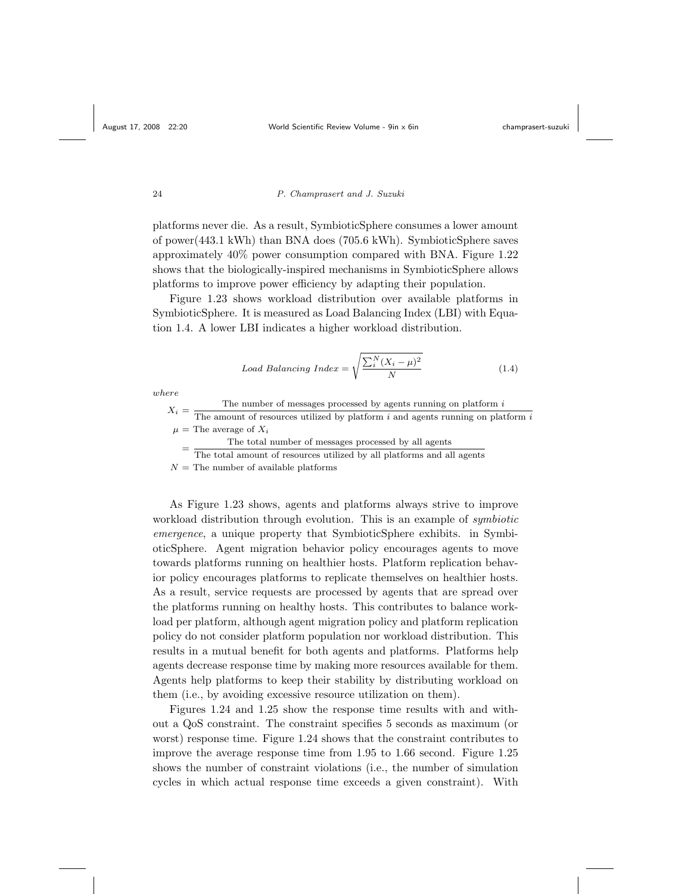platforms never die. As a result, SymbioticSphere consumes a lower amount of power(443.1 kWh) than BNA does (705.6 kWh). SymbioticSphere saves approximately 40% power consumption compared with BNA. Figure 1.22 shows that the biologically-inspired mechanisms in SymbioticSphere allows platforms to improve power efficiency by adapting their population.

Figure 1.23 shows workload distribution over available platforms in SymbioticSphere. It is measured as Load Balancing Index (LBI) with Equation 1.4. A lower LBI indicates a higher workload distribution.

$$
Load\,Balancing\ Index = \sqrt{\frac{\sum_{i}^{N}(X_i - \mu)^2}{N}}
$$
\n(1.4)

where

 $X_i =$ The number of messages processed by agents running on platform  $i$ 

The amount of resources utilized by platform  $i$  and agents running on platform  $i$  $\mu =$  The average of  $X_i$ 

= The total number of messages processed by all agents

The total amount of resources utilized by all platforms and all agents

 $N =$ The number of available platforms

As Figure 1.23 shows, agents and platforms always strive to improve workload distribution through evolution. This is an example of *symbiotic* emergence, a unique property that SymbioticSphere exhibits. in SymbioticSphere. Agent migration behavior policy encourages agents to move towards platforms running on healthier hosts. Platform replication behavior policy encourages platforms to replicate themselves on healthier hosts. As a result, service requests are processed by agents that are spread over the platforms running on healthy hosts. This contributes to balance workload per platform, although agent migration policy and platform replication policy do not consider platform population nor workload distribution. This results in a mutual benefit for both agents and platforms. Platforms help agents decrease response time by making more resources available for them. Agents help platforms to keep their stability by distributing workload on them (i.e., by avoiding excessive resource utilization on them).

Figures 1.24 and 1.25 show the response time results with and without a QoS constraint. The constraint specifies 5 seconds as maximum (or worst) response time. Figure 1.24 shows that the constraint contributes to improve the average response time from 1.95 to 1.66 second. Figure 1.25 shows the number of constraint violations (i.e., the number of simulation cycles in which actual response time exceeds a given constraint). With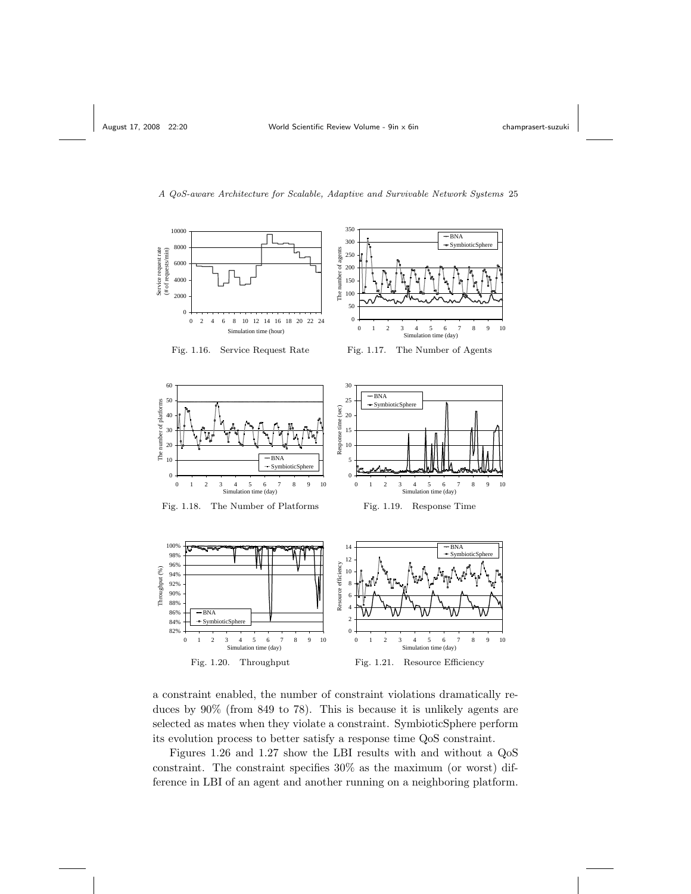

Fig. 1.21. Resource Efficiency

a constraint enabled, the number of constraint violations dramatically reduces by 90% (from 849 to 78). This is because it is unlikely agents are selected as mates when they violate a constraint. SymbioticSphere perform its evolution process to better satisfy a response time QoS constraint.

Figures 1.26 and 1.27 show the LBI results with and without a QoS constraint. The constraint specifies 30% as the maximum (or worst) difference in LBI of an agent and another running on a neighboring platform.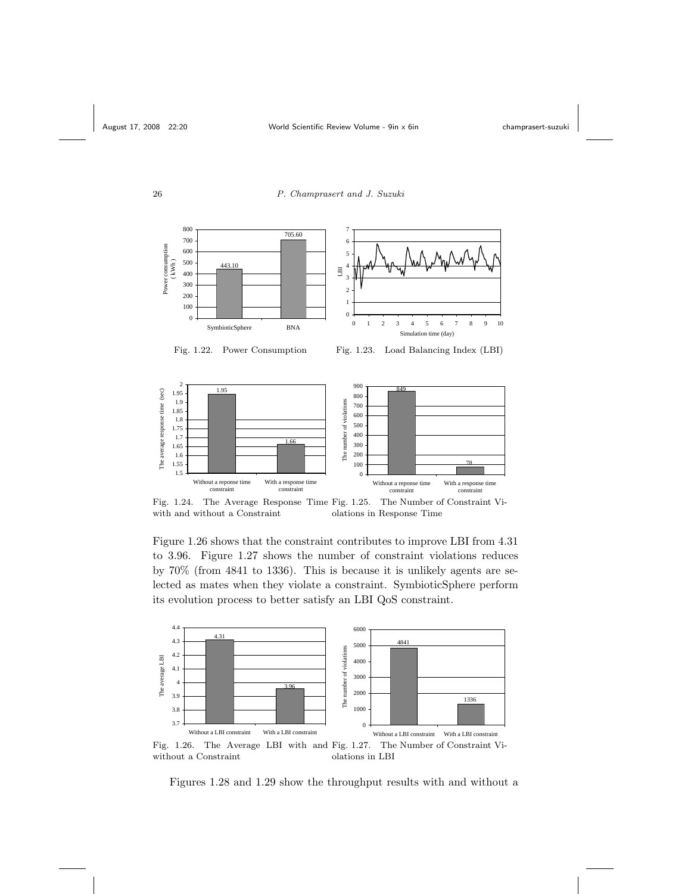







Fig. 1.24. The Average Response Time Fig. 1.25. The Number of Constraint Viwith and without a Constraint olations in Response Time

Figure 1.26 shows that the constraint contributes to improve LBI from 4.31 to 3.96. Figure 1.27 shows the number of constraint violations reduces by 70% (from 4841 to 1336). This is because it is unlikely agents are selected as mates when they violate a constraint. SymbioticSphere perform its evolution process to better satisfy an LBI QoS constraint.



Figures 1.28 and 1.29 show the throughput results with and without a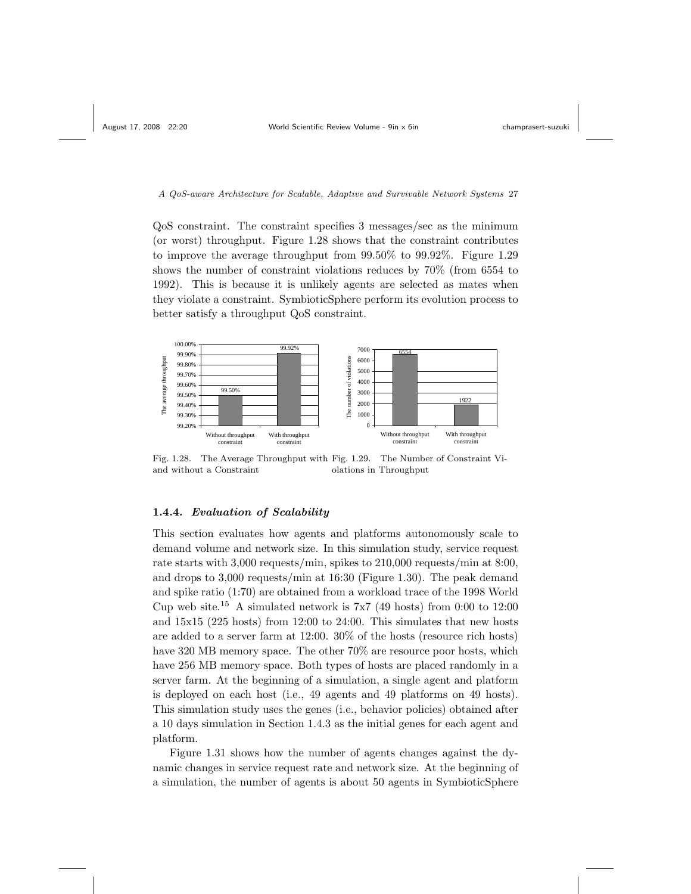QoS constraint. The constraint specifies 3 messages/sec as the minimum (or worst) throughput. Figure 1.28 shows that the constraint contributes to improve the average throughput from 99.50% to 99.92%. Figure 1.29 shows the number of constraint violations reduces by 70% (from 6554 to 1992). This is because it is unlikely agents are selected as mates when they violate a constraint. SymbioticSphere perform its evolution process to better satisfy a throughput QoS constraint.



Fig. 1.28. The Average Throughput with Fig. 1.29. The Number of Constraint Viand without a Constraint olations in Throughput

### 1.4.4. Evaluation of Scalability

This section evaluates how agents and platforms autonomously scale to demand volume and network size. In this simulation study, service request rate starts with 3,000 requests/min, spikes to 210,000 requests/min at 8:00, and drops to 3,000 requests/min at 16:30 (Figure 1.30). The peak demand and spike ratio (1:70) are obtained from a workload trace of the 1998 World Cup web site.<sup>15</sup> A simulated network is  $7x7$  (49 hosts) from 0:00 to 12:00 and 15x15 (225 hosts) from 12:00 to 24:00. This simulates that new hosts are added to a server farm at 12:00. 30% of the hosts (resource rich hosts) have 320 MB memory space. The other 70% are resource poor hosts, which have 256 MB memory space. Both types of hosts are placed randomly in a server farm. At the beginning of a simulation, a single agent and platform is deployed on each host (i.e., 49 agents and 49 platforms on 49 hosts). This simulation study uses the genes (i.e., behavior policies) obtained after a 10 days simulation in Section 1.4.3 as the initial genes for each agent and platform.

Figure 1.31 shows how the number of agents changes against the dynamic changes in service request rate and network size. At the beginning of a simulation, the number of agents is about 50 agents in SymbioticSphere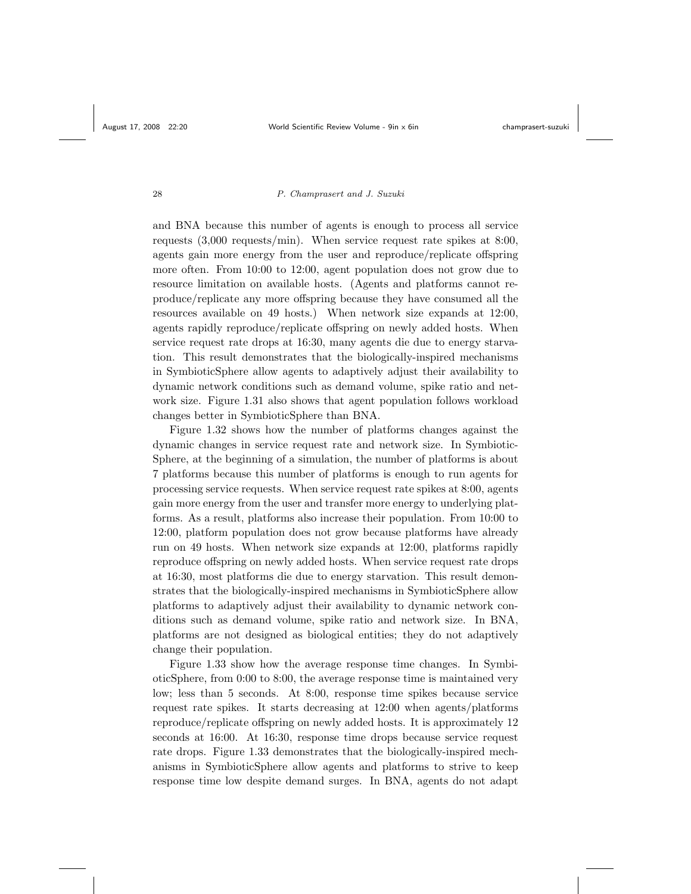and BNA because this number of agents is enough to process all service requests (3,000 requests/min). When service request rate spikes at 8:00, agents gain more energy from the user and reproduce/replicate offspring more often. From 10:00 to 12:00, agent population does not grow due to resource limitation on available hosts. (Agents and platforms cannot reproduce/replicate any more offspring because they have consumed all the resources available on 49 hosts.) When network size expands at 12:00, agents rapidly reproduce/replicate offspring on newly added hosts. When service request rate drops at 16:30, many agents die due to energy starvation. This result demonstrates that the biologically-inspired mechanisms in SymbioticSphere allow agents to adaptively adjust their availability to dynamic network conditions such as demand volume, spike ratio and network size. Figure 1.31 also shows that agent population follows workload changes better in SymbioticSphere than BNA.

Figure 1.32 shows how the number of platforms changes against the dynamic changes in service request rate and network size. In Symbiotic-Sphere, at the beginning of a simulation, the number of platforms is about 7 platforms because this number of platforms is enough to run agents for processing service requests. When service request rate spikes at 8:00, agents gain more energy from the user and transfer more energy to underlying platforms. As a result, platforms also increase their population. From 10:00 to 12:00, platform population does not grow because platforms have already run on 49 hosts. When network size expands at 12:00, platforms rapidly reproduce offspring on newly added hosts. When service request rate drops at 16:30, most platforms die due to energy starvation. This result demonstrates that the biologically-inspired mechanisms in SymbioticSphere allow platforms to adaptively adjust their availability to dynamic network conditions such as demand volume, spike ratio and network size. In BNA, platforms are not designed as biological entities; they do not adaptively change their population.

Figure 1.33 show how the average response time changes. In SymbioticSphere, from 0:00 to 8:00, the average response time is maintained very low; less than 5 seconds. At 8:00, response time spikes because service request rate spikes. It starts decreasing at 12:00 when agents/platforms reproduce/replicate offspring on newly added hosts. It is approximately 12 seconds at 16:00. At 16:30, response time drops because service request rate drops. Figure 1.33 demonstrates that the biologically-inspired mechanisms in SymbioticSphere allow agents and platforms to strive to keep response time low despite demand surges. In BNA, agents do not adapt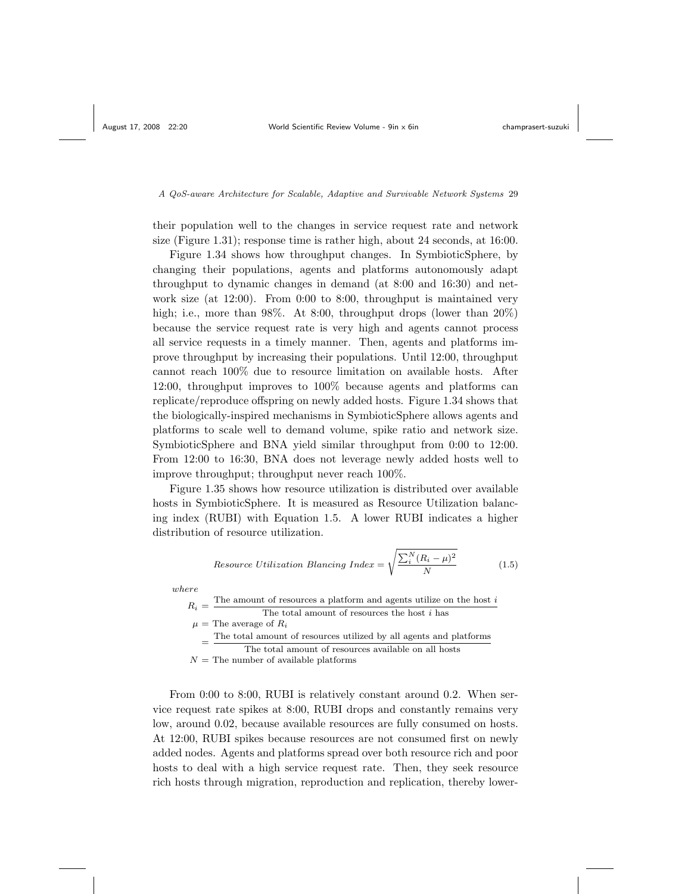their population well to the changes in service request rate and network size (Figure 1.31); response time is rather high, about 24 seconds, at 16:00.

Figure 1.34 shows how throughput changes. In SymbioticSphere, by changing their populations, agents and platforms autonomously adapt throughput to dynamic changes in demand (at 8:00 and 16:30) and network size (at 12:00). From 0:00 to 8:00, throughput is maintained very high; i.e., more than 98%. At 8:00, throughput drops (lower than  $20\%$ ) because the service request rate is very high and agents cannot process all service requests in a timely manner. Then, agents and platforms improve throughput by increasing their populations. Until 12:00, throughput cannot reach 100% due to resource limitation on available hosts. After 12:00, throughput improves to 100% because agents and platforms can replicate/reproduce offspring on newly added hosts. Figure 1.34 shows that the biologically-inspired mechanisms in SymbioticSphere allows agents and platforms to scale well to demand volume, spike ratio and network size. SymbioticSphere and BNA yield similar throughput from 0:00 to 12:00. From 12:00 to 16:30, BNA does not leverage newly added hosts well to improve throughput; throughput never reach 100%.

Figure 1.35 shows how resource utilization is distributed over available hosts in SymbioticSphere. It is measured as Resource Utilization balancing index (RUBI) with Equation 1.5. A lower RUBI indicates a higher distribution of resource utilization.

Resource *Utilization Blancing Index* = 
$$
\sqrt{\frac{\sum_{i}^{N} (R_i - \mu)^2}{N}}
$$
 (1.5)

where

 $R_i =$ The amount of resources a platform and agents utilize on the host  $i$ The total amount of resources the host  $i$  has  $\mu$  = The average of  $R_i$ 

= The total amount of resources utilized by all agents and platforms

The total amount of resources available on all hosts

 $N =$  The number of available platforms

From 0:00 to 8:00, RUBI is relatively constant around 0.2. When service request rate spikes at 8:00, RUBI drops and constantly remains very low, around 0.02, because available resources are fully consumed on hosts. At 12:00, RUBI spikes because resources are not consumed first on newly added nodes. Agents and platforms spread over both resource rich and poor hosts to deal with a high service request rate. Then, they seek resource rich hosts through migration, reproduction and replication, thereby lower-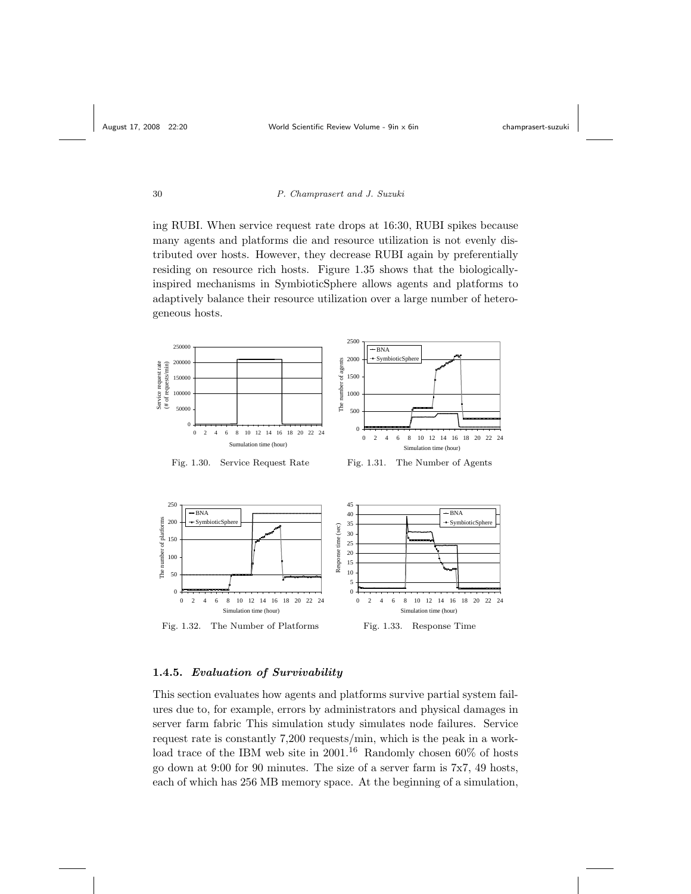ing RUBI. When service request rate drops at 16:30, RUBI spikes because many agents and platforms die and resource utilization is not evenly distributed over hosts. However, they decrease RUBI again by preferentially residing on resource rich hosts. Figure 1.35 shows that the biologicallyinspired mechanisms in SymbioticSphere allows agents and platforms to adaptively balance their resource utilization over a large number of heterogeneous hosts.



### 1.4.5. Evaluation of Survivability

This section evaluates how agents and platforms survive partial system failures due to, for example, errors by administrators and physical damages in server farm fabric This simulation study simulates node failures. Service request rate is constantly 7,200 requests/min, which is the peak in a workload trace of the IBM web site in  $2001$ .<sup>16</sup> Randomly chosen  $60\%$  of hosts go down at 9:00 for 90 minutes. The size of a server farm is 7x7, 49 hosts, each of which has 256 MB memory space. At the beginning of a simulation,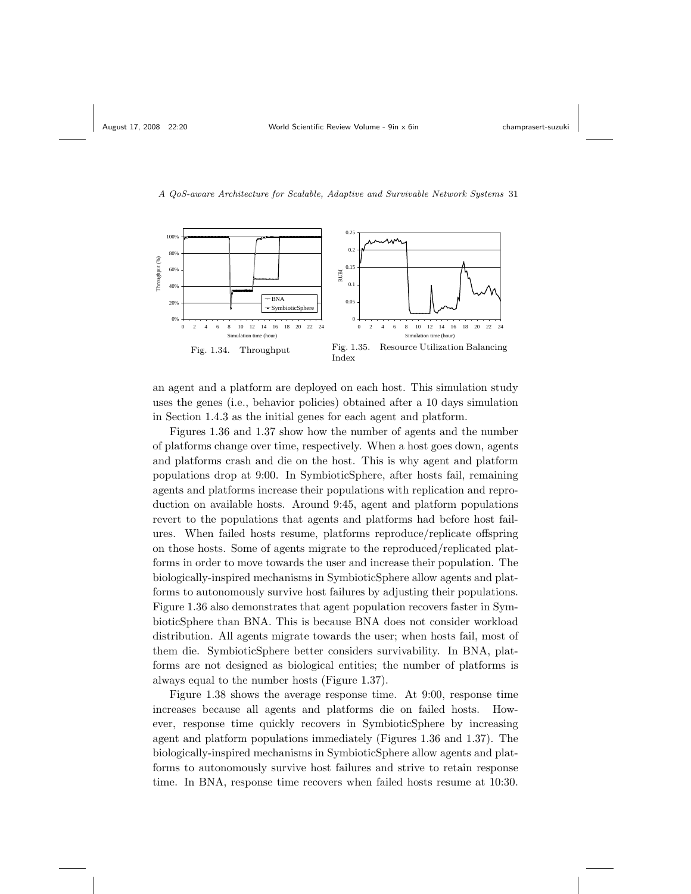A QoS-aware Architecture for Scalable, Adaptive and Survivable Network Systems 31



an agent and a platform are deployed on each host. This simulation study uses the genes (i.e., behavior policies) obtained after a 10 days simulation in Section 1.4.3 as the initial genes for each agent and platform.

Figures 1.36 and 1.37 show how the number of agents and the number of platforms change over time, respectively. When a host goes down, agents and platforms crash and die on the host. This is why agent and platform populations drop at 9:00. In SymbioticSphere, after hosts fail, remaining agents and platforms increase their populations with replication and reproduction on available hosts. Around 9:45, agent and platform populations revert to the populations that agents and platforms had before host failures. When failed hosts resume, platforms reproduce/replicate offspring on those hosts. Some of agents migrate to the reproduced/replicated platforms in order to move towards the user and increase their population. The biologically-inspired mechanisms in SymbioticSphere allow agents and platforms to autonomously survive host failures by adjusting their populations. Figure 1.36 also demonstrates that agent population recovers faster in SymbioticSphere than BNA. This is because BNA does not consider workload distribution. All agents migrate towards the user; when hosts fail, most of them die. SymbioticSphere better considers survivability. In BNA, platforms are not designed as biological entities; the number of platforms is always equal to the number hosts (Figure 1.37).

Figure 1.38 shows the average response time. At 9:00, response time increases because all agents and platforms die on failed hosts. However, response time quickly recovers in SymbioticSphere by increasing agent and platform populations immediately (Figures 1.36 and 1.37). The biologically-inspired mechanisms in SymbioticSphere allow agents and platforms to autonomously survive host failures and strive to retain response time. In BNA, response time recovers when failed hosts resume at 10:30.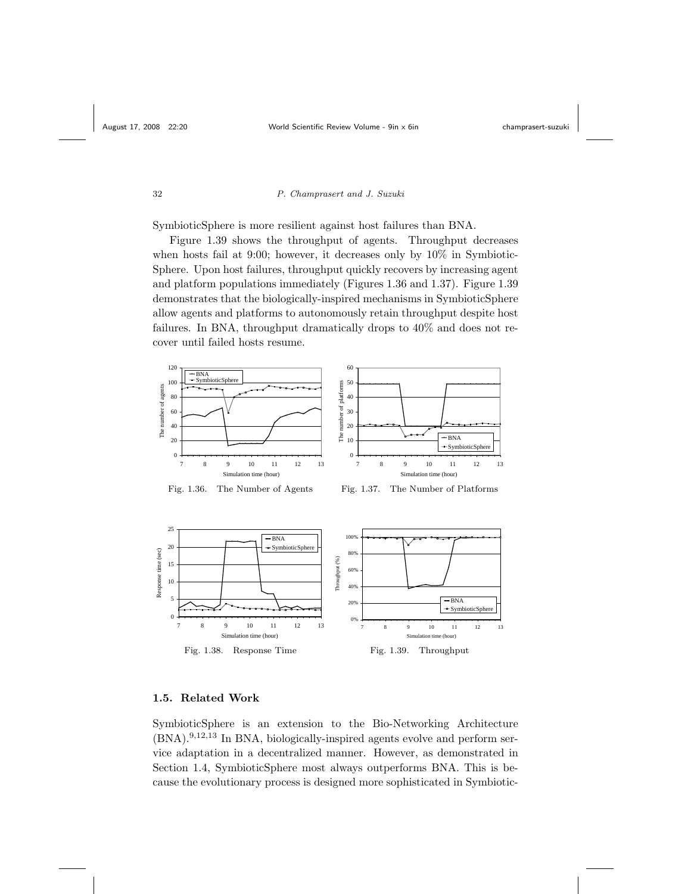SymbioticSphere is more resilient against host failures than BNA.

Figure 1.39 shows the throughput of agents. Throughput decreases when hosts fail at 9:00; however, it decreases only by 10% in Symbiotic-Sphere. Upon host failures, throughput quickly recovers by increasing agent and platform populations immediately (Figures 1.36 and 1.37). Figure 1.39 demonstrates that the biologically-inspired mechanisms in SymbioticSphere allow agents and platforms to autonomously retain throughput despite host failures. In BNA, throughput dramatically drops to 40% and does not recover until failed hosts resume.



## 1.5. Related Work

SymbioticSphere is an extension to the Bio-Networking Architecture  $(BNA)$ <sup>9,12,13</sup> In BNA, biologically-inspired agents evolve and perform service adaptation in a decentralized manner. However, as demonstrated in Section 1.4, SymbioticSphere most always outperforms BNA. This is because the evolutionary process is designed more sophisticated in Symbiotic-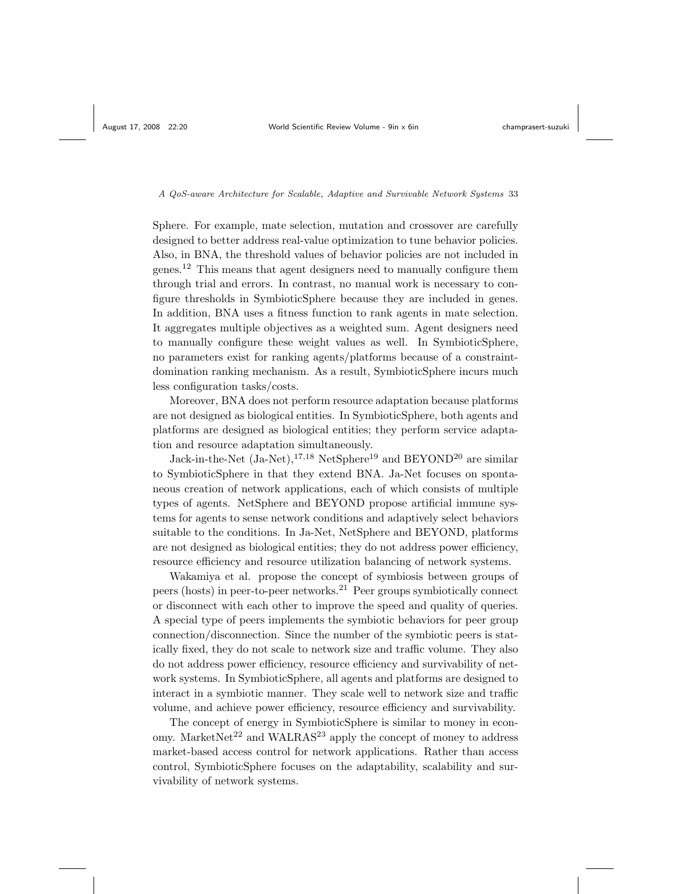Sphere. For example, mate selection, mutation and crossover are carefully designed to better address real-value optimization to tune behavior policies. Also, in BNA, the threshold values of behavior policies are not included in genes.<sup>12</sup> This means that agent designers need to manually configure them through trial and errors. In contrast, no manual work is necessary to configure thresholds in SymbioticSphere because they are included in genes. In addition, BNA uses a fitness function to rank agents in mate selection. It aggregates multiple objectives as a weighted sum. Agent designers need to manually configure these weight values as well. In SymbioticSphere, no parameters exist for ranking agents/platforms because of a constraintdomination ranking mechanism. As a result, SymbioticSphere incurs much less configuration tasks/costs.

Moreover, BNA does not perform resource adaptation because platforms are not designed as biological entities. In SymbioticSphere, both agents and platforms are designed as biological entities; they perform service adaptation and resource adaptation simultaneously.

Jack-in-the-Net  $(Ja-Net),<sup>17,18</sup> NetSphere<sup>19</sup>$  and BEYOND<sup>20</sup> are similar to SymbioticSphere in that they extend BNA. Ja-Net focuses on spontaneous creation of network applications, each of which consists of multiple types of agents. NetSphere and BEYOND propose artificial immune systems for agents to sense network conditions and adaptively select behaviors suitable to the conditions. In Ja-Net, NetSphere and BEYOND, platforms are not designed as biological entities; they do not address power efficiency, resource efficiency and resource utilization balancing of network systems.

Wakamiya et al. propose the concept of symbiosis between groups of peers (hosts) in peer-to-peer networks.<sup>21</sup> Peer groups symbiotically connect or disconnect with each other to improve the speed and quality of queries. A special type of peers implements the symbiotic behaviors for peer group connection/disconnection. Since the number of the symbiotic peers is statically fixed, they do not scale to network size and traffic volume. They also do not address power efficiency, resource efficiency and survivability of network systems. In SymbioticSphere, all agents and platforms are designed to interact in a symbiotic manner. They scale well to network size and traffic volume, and achieve power efficiency, resource efficiency and survivability.

The concept of energy in SymbioticSphere is similar to money in economy. MarketNet<sup>22</sup> and WALRAS<sup>23</sup> apply the concept of money to address market-based access control for network applications. Rather than access control, SymbioticSphere focuses on the adaptability, scalability and survivability of network systems.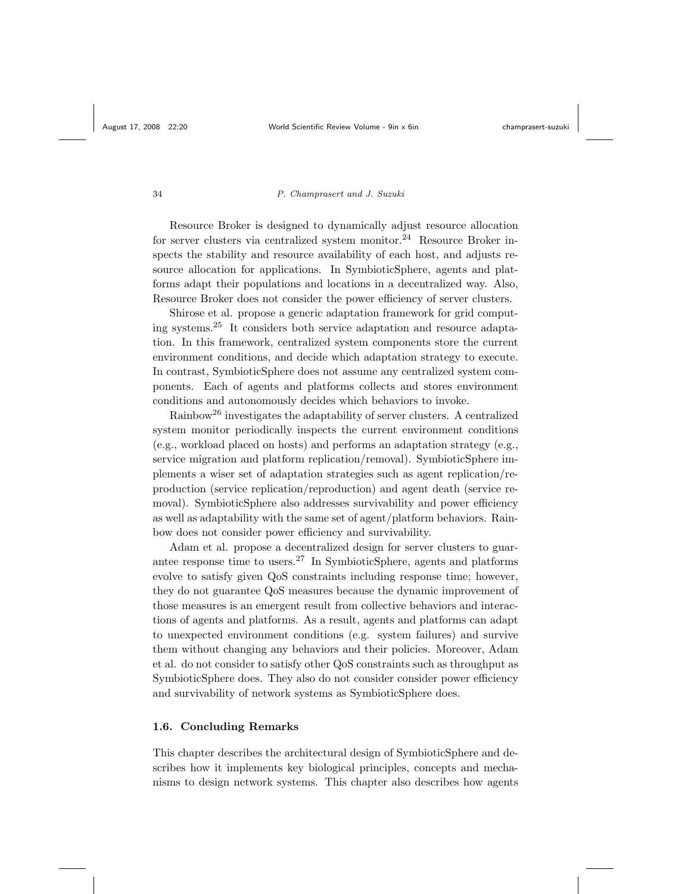Resource Broker is designed to dynamically adjust resource allocation for server clusters via centralized system monitor.<sup>24</sup> Resource Broker inspects the stability and resource availability of each host, and adjusts resource allocation for applications. In SymbioticSphere, agents and platforms adapt their populations and locations in a decentralized way. Also, Resource Broker does not consider the power efficiency of server clusters.

Shirose et al. propose a generic adaptation framework for grid computing systems.<sup>25</sup> It considers both service adaptation and resource adaptation. In this framework, centralized system components store the current environment conditions, and decide which adaptation strategy to execute. In contrast, SymbioticSphere does not assume any centralized system components. Each of agents and platforms collects and stores environment conditions and autonomously decides which behaviors to invoke.

Rainbow<sup>26</sup> investigates the adaptability of server clusters. A centralized system monitor periodically inspects the current environment conditions (e.g., workload placed on hosts) and performs an adaptation strategy (e.g., service migration and platform replication/removal). SymbioticSphere implements a wiser set of adaptation strategies such as agent replication/reproduction (service replication/reproduction) and agent death (service removal). SymbioticSphere also addresses survivability and power efficiency as well as adaptability with the same set of agent/platform behaviors. Rainbow does not consider power efficiency and survivability.

Adam et al. propose a decentralized design for server clusters to guarantee response time to users.<sup>27</sup> In SymbioticSphere, agents and platforms evolve to satisfy given QoS constraints including response time; however, they do not guarantee QoS measures because the dynamic improvement of those measures is an emergent result from collective behaviors and interactions of agents and platforms. As a result, agents and platforms can adapt to unexpected environment conditions (e.g. system failures) and survive them without changing any behaviors and their policies. Moreover, Adam et al. do not consider to satisfy other QoS constraints such as throughput as SymbioticSphere does. They also do not consider consider power efficiency and survivability of network systems as SymbioticSphere does.

## 1.6. Concluding Remarks

This chapter describes the architectural design of SymbioticSphere and describes how it implements key biological principles, concepts and mechanisms to design network systems. This chapter also describes how agents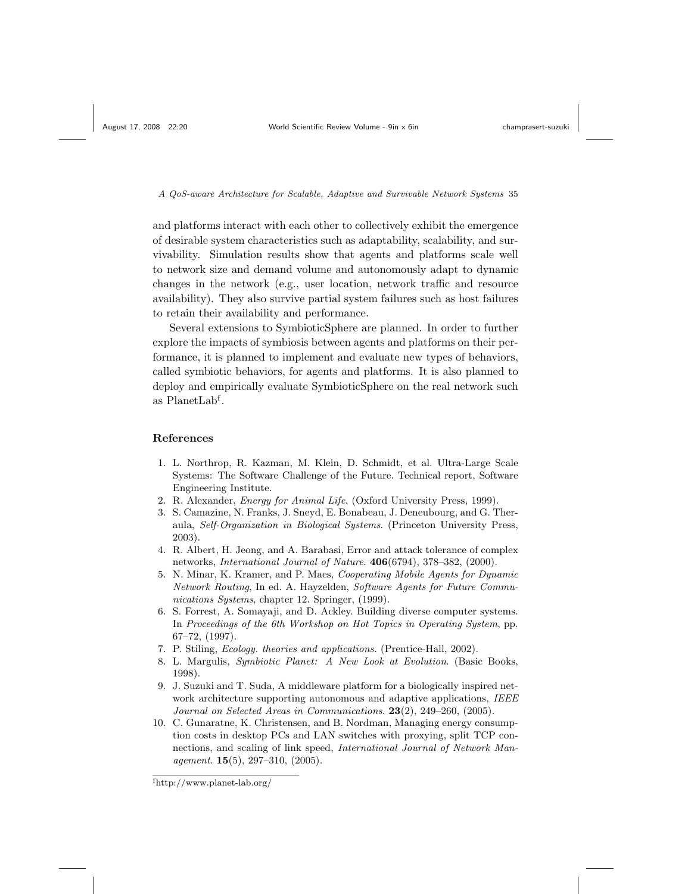and platforms interact with each other to collectively exhibit the emergence of desirable system characteristics such as adaptability, scalability, and survivability. Simulation results show that agents and platforms scale well to network size and demand volume and autonomously adapt to dynamic changes in the network (e.g., user location, network traffic and resource availability). They also survive partial system failures such as host failures to retain their availability and performance.

Several extensions to SymbioticSphere are planned. In order to further explore the impacts of symbiosis between agents and platforms on their performance, it is planned to implement and evaluate new types of behaviors, called symbiotic behaviors, for agents and platforms. It is also planned to deploy and empirically evaluate SymbioticSphere on the real network such as PlanetLab<sup>f</sup> .

#### References

- 1. L. Northrop, R. Kazman, M. Klein, D. Schmidt, et al. Ultra-Large Scale Systems: The Software Challenge of the Future. Technical report, Software Engineering Institute.
- 2. R. Alexander, Energy for Animal Life. (Oxford University Press, 1999).
- 3. S. Camazine, N. Franks, J. Sneyd, E. Bonabeau, J. Deneubourg, and G. Theraula, Self-Organization in Biological Systems. (Princeton University Press, 2003).
- 4. R. Albert, H. Jeong, and A. Barabasi, Error and attack tolerance of complex networks, International Journal of Nature. 406(6794), 378–382, (2000).
- 5. N. Minar, K. Kramer, and P. Maes, Cooperating Mobile Agents for Dynamic Network Routing, In ed. A. Hayzelden, Software Agents for Future Communications Systems, chapter 12. Springer, (1999).
- 6. S. Forrest, A. Somayaji, and D. Ackley. Building diverse computer systems. In Proceedings of the 6th Workshop on Hot Topics in Operating System, pp. 67–72, (1997).
- 7. P. Stiling, Ecology. theories and applications. (Prentice-Hall, 2002).
- 8. L. Margulis, Symbiotic Planet: A New Look at Evolution. (Basic Books, 1998).
- 9. J. Suzuki and T. Suda, A middleware platform for a biologically inspired network architecture supporting autonomous and adaptive applications, IEEE Journal on Selected Areas in Communications. 23(2), 249–260, (2005).
- 10. C. Gunaratne, K. Christensen, and B. Nordman, Managing energy consumption costs in desktop PCs and LAN switches with proxying, split TCP connections, and scaling of link speed, International Journal of Network Management.  $15(5)$ , 297-310, (2005).

<sup>f</sup>http://www.planet-lab.org/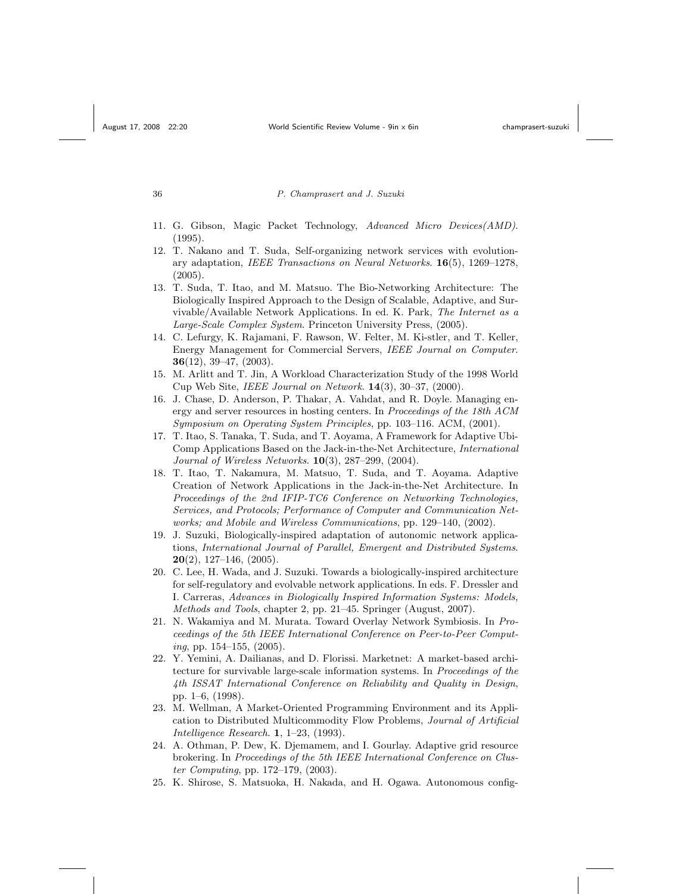- 11. G. Gibson, Magic Packet Technology, Advanced Micro Devices(AMD). (1995).
- 12. T. Nakano and T. Suda, Self-organizing network services with evolutionary adaptation, IEEE Transactions on Neural Networks. 16(5), 1269–1278, (2005).
- 13. T. Suda, T. Itao, and M. Matsuo. The Bio-Networking Architecture: The Biologically Inspired Approach to the Design of Scalable, Adaptive, and Survivable/Available Network Applications. In ed. K. Park, The Internet as a Large-Scale Complex System. Princeton University Press, (2005).
- 14. C. Lefurgy, K. Rajamani, F. Rawson, W. Felter, M. Ki-stler, and T. Keller, Energy Management for Commercial Servers, IEEE Journal on Computer. **36**(12), 39–47, (2003).
- 15. M. Arlitt and T. Jin, A Workload Characterization Study of the 1998 World Cup Web Site, *IEEE Journal on Network*.  $14(3)$ ,  $30-37$ ,  $(2000)$ .
- 16. J. Chase, D. Anderson, P. Thakar, A. Vahdat, and R. Doyle. Managing energy and server resources in hosting centers. In Proceedings of the 18th ACM Symposium on Operating System Principles, pp. 103–116. ACM, (2001).
- 17. T. Itao, S. Tanaka, T. Suda, and T. Aoyama, A Framework for Adaptive Ubi-Comp Applications Based on the Jack-in-the-Net Architecture, International Journal of Wireless Networks. 10(3), 287–299, (2004).
- 18. T. Itao, T. Nakamura, M. Matsuo, T. Suda, and T. Aoyama. Adaptive Creation of Network Applications in the Jack-in-the-Net Architecture. In Proceedings of the 2nd IFIP-TC6 Conference on Networking Technologies, Services, and Protocols; Performance of Computer and Communication Networks; and Mobile and Wireless Communications, pp. 129–140, (2002).
- 19. J. Suzuki, Biologically-inspired adaptation of autonomic network applications, International Journal of Parallel, Emergent and Distributed Systems.  $20(2)$ , 127-146, (2005).
- 20. C. Lee, H. Wada, and J. Suzuki. Towards a biologically-inspired architecture for self-regulatory and evolvable network applications. In eds. F. Dressler and I. Carreras, Advances in Biologically Inspired Information Systems: Models, Methods and Tools, chapter 2, pp. 21–45. Springer (August, 2007).
- 21. N. Wakamiya and M. Murata. Toward Overlay Network Symbiosis. In Proceedings of the 5th IEEE International Conference on Peer-to-Peer Comput $ing, pp. 154–155, (2005).$
- 22. Y. Yemini, A. Dailianas, and D. Florissi. Marketnet: A market-based architecture for survivable large-scale information systems. In Proceedings of the 4th ISSAT International Conference on Reliability and Quality in Design, pp. 1–6, (1998).
- 23. M. Wellman, A Market-Oriented Programming Environment and its Application to Distributed Multicommodity Flow Problems, Journal of Artificial Intelligence Research. 1, 1–23, (1993).
- 24. A. Othman, P. Dew, K. Djemamem, and I. Gourlay. Adaptive grid resource brokering. In Proceedings of the 5th IEEE International Conference on Cluster Computing, pp. 172–179, (2003).
- 25. K. Shirose, S. Matsuoka, H. Nakada, and H. Ogawa. Autonomous config-